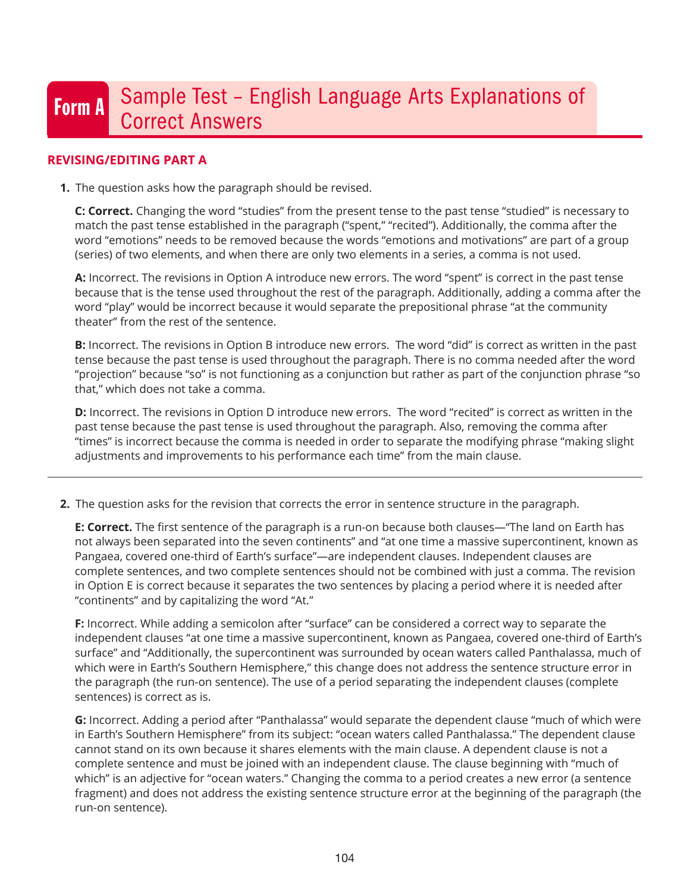# Form A Sample Test - English Language Arts Explanations of Correct Answers

# **REVISING/EDITING PART A**

**1.** The question asks how the paragraph should be revised.

**C: Correct.** Changing the word "studies" from the present tense to the past tense "studied" is necessary to match the past tense established in the paragraph ("spent," "recited"). Additionally, the comma after the word "emotions" needs to be removed because the words "emotions and motivations" are part of a group (series) of two elements, and when there are only two elements in a series, a comma is not used.

**A:** Incorrect. The revisions in Option A introduce new errors. The word "spent" is correct in the past tense because that is the tense used throughout the rest of the paragraph. Additionally, adding a comma after the word "play" would be incorrect because it would separate the prepositional phrase "at the community theater" from the rest of the sentence.

**B:** Incorrect. The revisions in Option B introduce new errors. The word "did" is correct as written in the past tense because the past tense is used throughout the paragraph. There is no comma needed after the word "projection" because "so" is not functioning as a conjunction but rather as part of the conjunction phrase "so that," which does not take a comma.

**D:** Incorrect. The revisions in Option D introduce new errors. The word "recited" is correct as written in the past tense because the past tense is used throughout the paragraph. Also, removing the comma after "times" is incorrect because the comma is needed in order to separate the modifying phrase "making slight adjustments and improvements to his performance each time" from the main clause.

**2.** The question asks for the revision that corrects the error in sentence structure in the paragraph.

**E: Correct.** The first sentence of the paragraph is a run-on because both clauses—"The land on Earth has not always been separated into the seven continents" and "at one time a massive supercontinent, known as Pangaea, covered one-third of Earth's surface"—are independent clauses. Independent clauses are complete sentences, and two complete sentences should not be combined with just a comma. The revision in Option E is correct because it separates the two sentences by placing a period where it is needed after "continents" and by capitalizing the word "At."

**F:** Incorrect. While adding a semicolon after "surface" can be considered a correct way to separate the independent clauses "at one time a massive supercontinent, known as Pangaea, covered one-third of Earth's surface" and "Additionally, the supercontinent was surrounded by ocean waters called Panthalassa, much of which were in Earth's Southern Hemisphere," this change does not address the sentence structure error in the paragraph (the run-on sentence). The use of a period separating the independent clauses (complete sentences) is correct as is.

**G:** Incorrect. Adding a period after "Panthalassa" would separate the dependent clause "much of which were in Earth's Southern Hemisphere" from its subject: "ocean waters called Panthalassa." The dependent clause cannot stand on its own because it shares elements with the main clause. A dependent clause is not a complete sentence and must be joined with an independent clause. The clause beginning with "much of which" is an adjective for "ocean waters." Changing the comma to a period creates a new error (a sentence fragment) and does not address the existing sentence structure error at the beginning of the paragraph (the run-on sentence).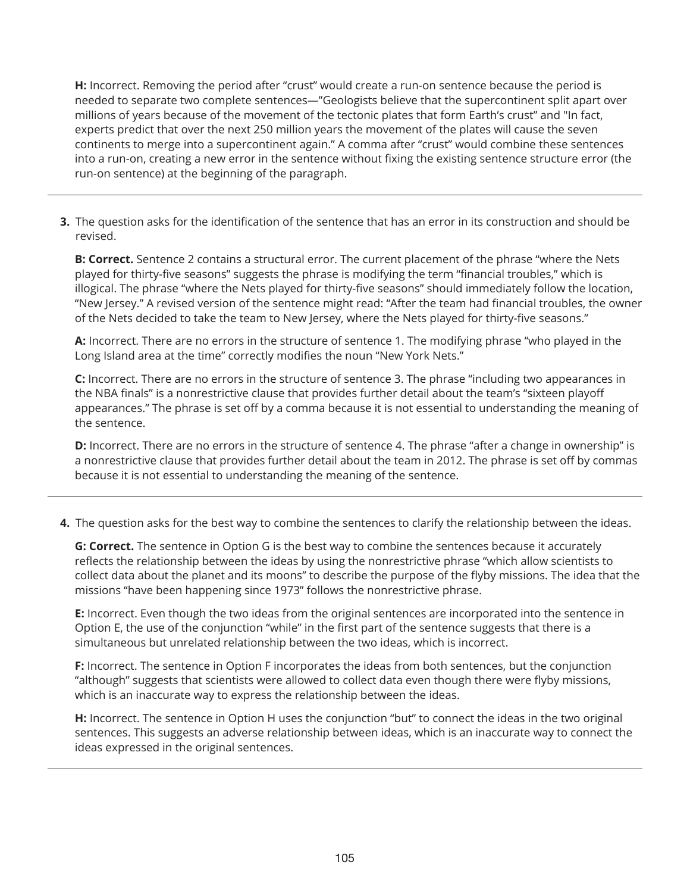**H:** Incorrect. Removing the period after "crust" would create a run-on sentence because the period is needed to separate two complete sentences—"Geologists believe that the supercontinent split apart over millions of years because of the movement of the tectonic plates that form Earth's crust" and "In fact, experts predict that over the next 250 million years the movement of the plates will cause the seven continents to merge into a supercontinent again." A comma after "crust" would combine these sentences into a run-on, creating a new error in the sentence without fixing the existing sentence structure error (the run-on sentence) at the beginning of the paragraph.

**3.** The question asks for the identification of the sentence that has an error in its construction and should be revised.

**B: Correct.** Sentence 2 contains a structural error. The current placement of the phrase "where the Nets played for thirty-five seasons" suggests the phrase is modifying the term "financial troubles," which is illogical. The phrase "where the Nets played for thirty-five seasons" should immediately follow the location, "New Jersey." A revised version of the sentence might read: "After the team had financial troubles, the owner of the Nets decided to take the team to New Jersey, where the Nets played for thirty-five seasons."

**A:** Incorrect. There are no errors in the structure of sentence 1. The modifying phrase "who played in the Long Island area at the time" correctly modifies the noun "New York Nets."

**C:** Incorrect. There are no errors in the structure of sentence 3. The phrase "including two appearances in the NBA finals" is a nonrestrictive clause that provides further detail about the team's "sixteen playoff appearances." The phrase is set off by a comma because it is not essential to understanding the meaning of the sentence.

**D:** Incorrect. There are no errors in the structure of sentence 4. The phrase "after a change in ownership" is a nonrestrictive clause that provides further detail about the team in 2012. The phrase is set off by commas because it is not essential to understanding the meaning of the sentence.

**4.** The question asks for the best way to combine the sentences to clarify the relationship between the ideas.

**G: Correct.** The sentence in Option G is the best way to combine the sentences because it accurately reflects the relationship between the ideas by using the nonrestrictive phrase "which allow scientists to collect data about the planet and its moons" to describe the purpose of the flyby missions. The idea that the missions "have been happening since 1973" follows the nonrestrictive phrase.

**E:** Incorrect. Even though the two ideas from the original sentences are incorporated into the sentence in Option E, the use of the conjunction "while" in the first part of the sentence suggests that there is a simultaneous but unrelated relationship between the two ideas, which is incorrect.

**F:** Incorrect. The sentence in Option F incorporates the ideas from both sentences, but the conjunction "although" suggests that scientists were allowed to collect data even though there were flyby missions, which is an inaccurate way to express the relationship between the ideas.

**H:** Incorrect. The sentence in Option H uses the conjunction "but" to connect the ideas in the two original sentences. This suggests an adverse relationship between ideas, which is an inaccurate way to connect the ideas expressed in the original sentences.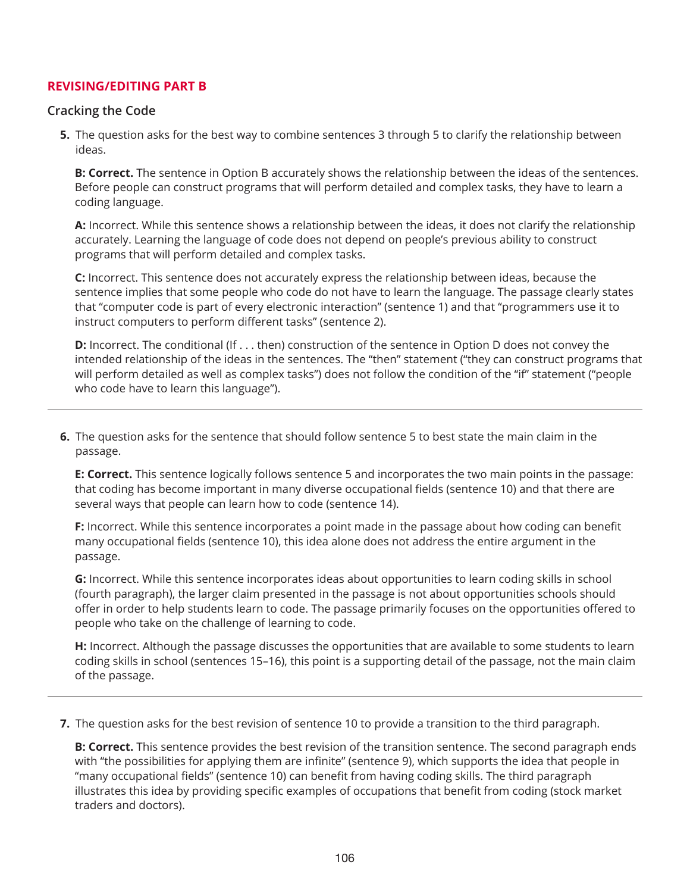# **REVISING/EDITING PART B**

## **Cracking the Code**

**5.** The question asks for the best way to combine sentences 3 through 5 to clarify the relationship between ideas.

**B: Correct.** The sentence in Option B accurately shows the relationship between the ideas of the sentences. Before people can construct programs that will perform detailed and complex tasks, they have to learn a coding language.

**A:** Incorrect. While this sentence shows a relationship between the ideas, it does not clarify the relationship accurately. Learning the language of code does not depend on people's previous ability to construct programs that will perform detailed and complex tasks.

**C:** Incorrect. This sentence does not accurately express the relationship between ideas, because the sentence implies that some people who code do not have to learn the language. The passage clearly states that "computer code is part of every electronic interaction" (sentence 1) and that "programmers use it to instruct computers to perform different tasks" (sentence 2).

**D:** Incorrect. The conditional (If . . . then) construction of the sentence in Option D does not convey the intended relationship of the ideas in the sentences. The "then" statement ("they can construct programs that will perform detailed as well as complex tasks") does not follow the condition of the "if" statement ("people who code have to learn this language").

**6.** The question asks for the sentence that should follow sentence 5 to best state the main claim in the passage.

**E: Correct.** This sentence logically follows sentence 5 and incorporates the two main points in the passage: that coding has become important in many diverse occupational fields (sentence 10) and that there are several ways that people can learn how to code (sentence 14).

**F:** Incorrect. While this sentence incorporates a point made in the passage about how coding can benefit many occupational fields (sentence 10), this idea alone does not address the entire argument in the passage.

**G:** Incorrect. While this sentence incorporates ideas about opportunities to learn coding skills in school (fourth paragraph), the larger claim presented in the passage is not about opportunities schools should offer in order to help students learn to code. The passage primarily focuses on the opportunities offered to people who take on the challenge of learning to code.

**H:** Incorrect. Although the passage discusses the opportunities that are available to some students to learn coding skills in school (sentences 15–16), this point is a supporting detail of the passage, not the main claim of the passage.

**7.** The question asks for the best revision of sentence 10 to provide a transition to the third paragraph.

**B: Correct.** This sentence provides the best revision of the transition sentence. The second paragraph ends with "the possibilities for applying them are infinite" (sentence 9), which supports the idea that people in "many occupational fields" (sentence 10) can benefit from having coding skills. The third paragraph illustrates this idea by providing specific examples of occupations that benefit from coding (stock market traders and doctors).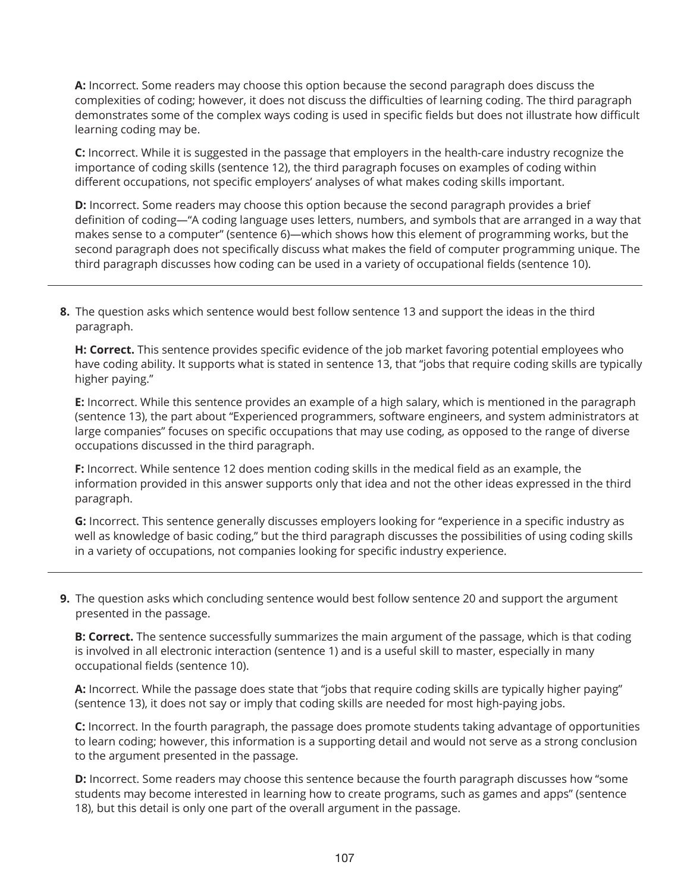**A:** Incorrect. Some readers may choose this option because the second paragraph does discuss the complexities of coding; however, it does not discuss the difficulties of learning coding. The third paragraph demonstrates some of the complex ways coding is used in specific fields but does not illustrate how difficult learning coding may be.

**C:** Incorrect. While it is suggested in the passage that employers in the health-care industry recognize the importance of coding skills (sentence 12), the third paragraph focuses on examples of coding within different occupations, not specific employers' analyses of what makes coding skills important.

**D:** Incorrect. Some readers may choose this option because the second paragraph provides a brief definition of coding—"A coding language uses letters, numbers, and symbols that are arranged in a way that makes sense to a computer" (sentence 6)—which shows how this element of programming works, but the second paragraph does not specifically discuss what makes the field of computer programming unique. The third paragraph discusses how coding can be used in a variety of occupational fields (sentence 10).

**8.** The question asks which sentence would best follow sentence 13 and support the ideas in the third paragraph.

**H: Correct.** This sentence provides specific evidence of the job market favoring potential employees who have coding ability. It supports what is stated in sentence 13, that "jobs that require coding skills are typically higher paying."

**E:** Incorrect. While this sentence provides an example of a high salary, which is mentioned in the paragraph (sentence 13), the part about "Experienced programmers, software engineers, and system administrators at large companies" focuses on specific occupations that may use coding, as opposed to the range of diverse occupations discussed in the third paragraph.

**F:** Incorrect. While sentence 12 does mention coding skills in the medical field as an example, the information provided in this answer supports only that idea and not the other ideas expressed in the third paragraph.

**G:** Incorrect. This sentence generally discusses employers looking for "experience in a specific industry as well as knowledge of basic coding," but the third paragraph discusses the possibilities of using coding skills in a variety of occupations, not companies looking for specific industry experience.

**9.** The question asks which concluding sentence would best follow sentence 20 and support the argument presented in the passage.

**B: Correct.** The sentence successfully summarizes the main argument of the passage, which is that coding is involved in all electronic interaction (sentence 1) and is a useful skill to master, especially in many occupational fields (sentence 10).

**A:** Incorrect. While the passage does state that "jobs that require coding skills are typically higher paying" (sentence 13), it does not say or imply that coding skills are needed for most high-paying jobs.

**C:** Incorrect. In the fourth paragraph, the passage does promote students taking advantage of opportunities to learn coding; however, this information is a supporting detail and would not serve as a strong conclusion to the argument presented in the passage.

**D:** Incorrect. Some readers may choose this sentence because the fourth paragraph discusses how "some students may become interested in learning how to create programs, such as games and apps" (sentence 18), but this detail is only one part of the overall argument in the passage.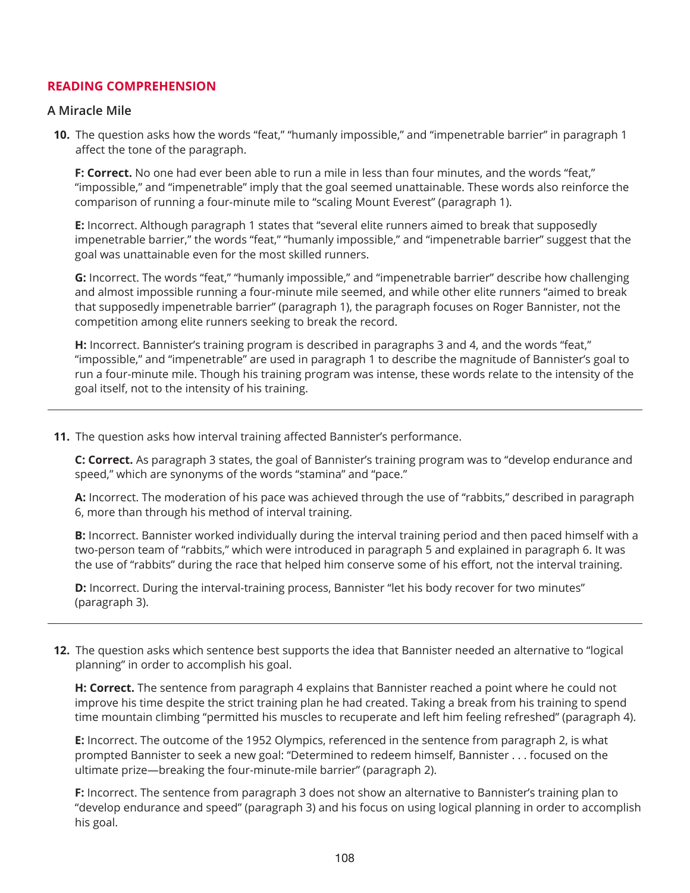# **READING COMPREHENSION**

## **A Miracle Mile**

**10.** The question asks how the words "feat," "humanly impossible," and "impenetrable barrier" in paragraph 1 affect the tone of the paragraph.

**F: Correct.** No one had ever been able to run a mile in less than four minutes, and the words "feat," "impossible," and "impenetrable" imply that the goal seemed unattainable. These words also reinforce the comparison of running a four-minute mile to "scaling Mount Everest" (paragraph 1).

**E:** Incorrect. Although paragraph 1 states that "several elite runners aimed to break that supposedly impenetrable barrier," the words "feat," "humanly impossible," and "impenetrable barrier" suggest that the goal was unattainable even for the most skilled runners.

**G:** Incorrect. The words "feat," "humanly impossible," and "impenetrable barrier" describe how challenging and almost impossible running a four-minute mile seemed, and while other elite runners "aimed to break that supposedly impenetrable barrier" (paragraph 1), the paragraph focuses on Roger Bannister, not the competition among elite runners seeking to break the record.

**H:** Incorrect. Bannister's training program is described in paragraphs 3 and 4, and the words "feat," "impossible," and "impenetrable" are used in paragraph 1 to describe the magnitude of Bannister's goal to run a four-minute mile. Though his training program was intense, these words relate to the intensity of the goal itself, not to the intensity of his training.

**11.** The question asks how interval training affected Bannister's performance.

**C: Correct.** As paragraph 3 states, the goal of Bannister's training program was to "develop endurance and speed," which are synonyms of the words "stamina" and "pace."

**A:** Incorrect. The moderation of his pace was achieved through the use of "rabbits," described in paragraph 6, more than through his method of interval training.

**B:** Incorrect. Bannister worked individually during the interval training period and then paced himself with a two-person team of "rabbits," which were introduced in paragraph 5 and explained in paragraph 6. It was the use of "rabbits" during the race that helped him conserve some of his effort, not the interval training.

**D:** Incorrect. During the interval-training process, Bannister "let his body recover for two minutes" (paragraph 3).

**12.** The question asks which sentence best supports the idea that Bannister needed an alternative to "logical planning" in order to accomplish his goal.

**H: Correct.** The sentence from paragraph 4 explains that Bannister reached a point where he could not improve his time despite the strict training plan he had created. Taking a break from his training to spend time mountain climbing "permitted his muscles to recuperate and left him feeling refreshed" (paragraph 4).

**E:** Incorrect. The outcome of the 1952 Olympics, referenced in the sentence from paragraph 2, is what prompted Bannister to seek a new goal: "Determined to redeem himself, Bannister ... focused on the ultimate prize—breaking the four-minute-mile barrier" (paragraph 2).

**F:** Incorrect. The sentence from paragraph 3 does not show an alternative to Bannister's training plan to "develop endurance and speed" (paragraph 3) and his focus on using logical planning in order to accomplish his goal.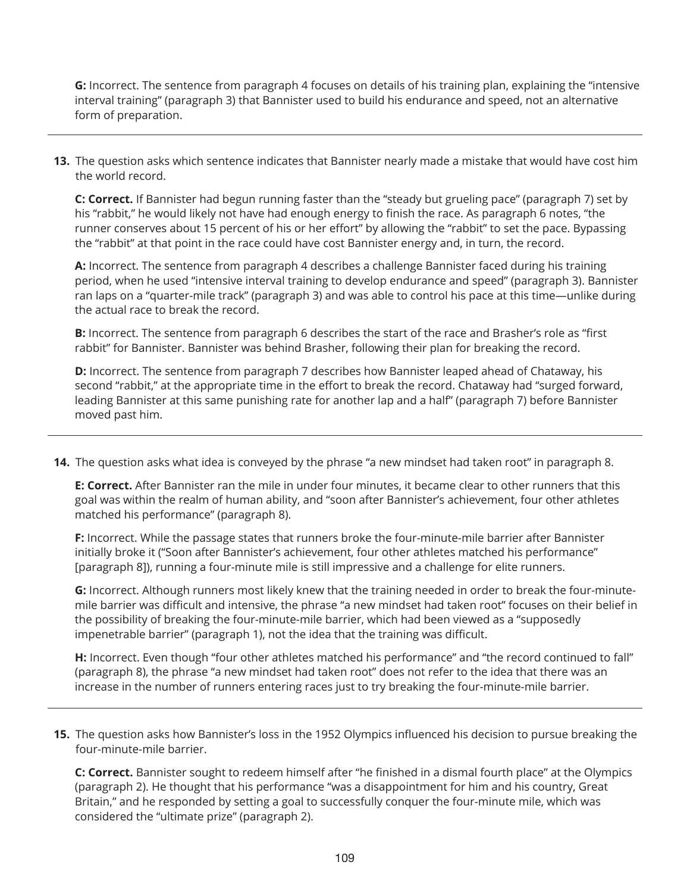**G:** Incorrect. The sentence from paragraph 4 focuses on details of his training plan, explaining the "intensive interval training" (paragraph 3) that Bannister used to build his endurance and speed, not an alternative form of preparation.

**13.** The question asks which sentence indicates that Bannister nearly made a mistake that would have cost him the world record.

**C: Correct.** If Bannister had begun running faster than the "steady but grueling pace" (paragraph 7) set by his "rabbit," he would likely not have had enough energy to finish the race. As paragraph 6 notes, "the runner conserves about 15 percent of his or her effort" by allowing the "rabbit" to set the pace. Bypassing the "rabbit" at that point in the race could have cost Bannister energy and, in turn, the record.

**A:** Incorrect. The sentence from paragraph 4 describes a challenge Bannister faced during his training period, when he used "intensive interval training to develop endurance and speed" (paragraph 3). Bannister ran laps on a "quarter-mile track" (paragraph 3) and was able to control his pace at this time―unlike during the actual race to break the record.

**B:** Incorrect. The sentence from paragraph 6 describes the start of the race and Brasher's role as "first rabbit" for Bannister. Bannister was behind Brasher, following their plan for breaking the record.

**D:** Incorrect. The sentence from paragraph 7 describes how Bannister leaped ahead of Chataway, his second "rabbit," at the appropriate time in the effort to break the record. Chataway had "surged forward, leading Bannister at this same punishing rate for another lap and a half" (paragraph 7) before Bannister moved past him.

**14.** The question asks what idea is conveyed by the phrase "a new mindset had taken root" in paragraph 8.

**E: Correct.** After Bannister ran the mile in under four minutes, it became clear to other runners that this goal was within the realm of human ability, and "soon after Bannister's achievement, four other athletes matched his performance" (paragraph 8).

**F:** Incorrect. While the passage states that runners broke the four-minute-mile barrier after Bannister initially broke it ("Soon after Bannister's achievement, four other athletes matched his performance" [paragraph 8]), running a four-minute mile is still impressive and a challenge for elite runners.

**G:** Incorrect. Although runners most likely knew that the training needed in order to break the four-minutemile barrier was difficult and intensive, the phrase "a new mindset had taken root" focuses on their belief in the possibility of breaking the four-minute-mile barrier, which had been viewed as a "supposedly impenetrable barrier" (paragraph 1), not the idea that the training was difficult.

**H:** Incorrect. Even though "four other athletes matched his performance" and "the record continued to fall" (paragraph 8), the phrase "a new mindset had taken root" does not refer to the idea that there was an increase in the number of runners entering races just to try breaking the four-minute-mile barrier.

**15.** The question asks how Bannister's loss in the 1952 Olympics influenced his decision to pursue breaking the four-minute-mile barrier.

**C: Correct.** Bannister sought to redeem himself after "he finished in a dismal fourth place" at the Olympics (paragraph 2). He thought that his performance "was a disappointment for him and his country, Great Britain," and he responded by setting a goal to successfully conquer the four-minute mile, which was considered the "ultimate prize" (paragraph 2).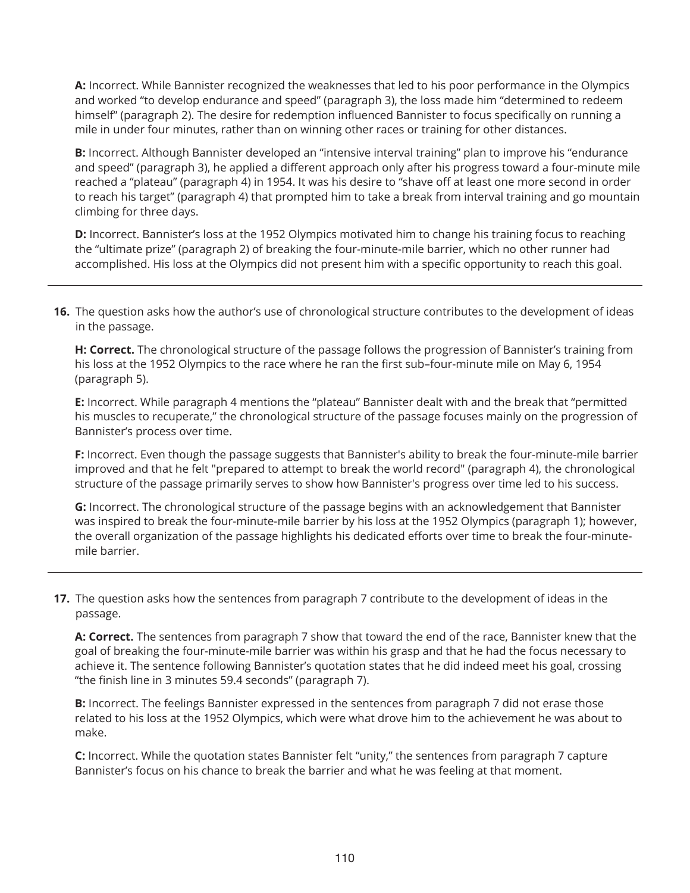**A:** Incorrect. While Bannister recognized the weaknesses that led to his poor performance in the Olympics and worked "to develop endurance and speed" (paragraph 3), the loss made him "determined to redeem himself" (paragraph 2). The desire for redemption influenced Bannister to focus specifically on running a mile in under four minutes, rather than on winning other races or training for other distances.

**B:** Incorrect. Although Bannister developed an "intensive interval training" plan to improve his "endurance and speed" (paragraph 3), he applied a different approach only after his progress toward a four-minute mile reached a "plateau" (paragraph 4) in 1954. It was his desire to "shave off at least one more second in order to reach his target" (paragraph 4) that prompted him to take a break from interval training and go mountain climbing for three days.

**D:** Incorrect. Bannister's loss at the 1952 Olympics motivated him to change his training focus to reaching the "ultimate prize" (paragraph 2) of breaking the four-minute-mile barrier, which no other runner had accomplished. His loss at the Olympics did not present him with a specific opportunity to reach this goal.

**16.** The question asks how the author's use of chronological structure contributes to the development of ideas in the passage.

**H: Correct.** The chronological structure of the passage follows the progression of Bannister's training from his loss at the 1952 Olympics to the race where he ran the first sub–four-minute mile on May 6, 1954 (paragraph 5).

**E:** Incorrect. While paragraph 4 mentions the "plateau" Bannister dealt with and the break that "permitted his muscles to recuperate," the chronological structure of the passage focuses mainly on the progression of Bannister's process over time.

**F:** Incorrect. Even though the passage suggests that Bannister's ability to break the four-minute-mile barrier improved and that he felt "prepared to attempt to break the world record" (paragraph 4), the chronological structure of the passage primarily serves to show how Bannister's progress over time led to his success.

**G:** Incorrect. The chronological structure of the passage begins with an acknowledgement that Bannister was inspired to break the four-minute-mile barrier by his loss at the 1952 Olympics (paragraph 1); however, the overall organization of the passage highlights his dedicated efforts over time to break the four-minutemile barrier.

**17.** The question asks how the sentences from paragraph 7 contribute to the development of ideas in the passage.

**A: Correct.** The sentences from paragraph 7 show that toward the end of the race, Bannister knew that the goal of breaking the four-minute-mile barrier was within his grasp and that he had the focus necessary to achieve it. The sentence following Bannister's quotation states that he did indeed meet his goal, crossing "the finish line in 3 minutes 59.4 seconds" (paragraph 7).

**B:** Incorrect. The feelings Bannister expressed in the sentences from paragraph 7 did not erase those related to his loss at the 1952 Olympics, which were what drove him to the achievement he was about to make.

**C:** Incorrect. While the quotation states Bannister felt "unity," the sentences from paragraph 7 capture Bannister's focus on his chance to break the barrier and what he was feeling at that moment.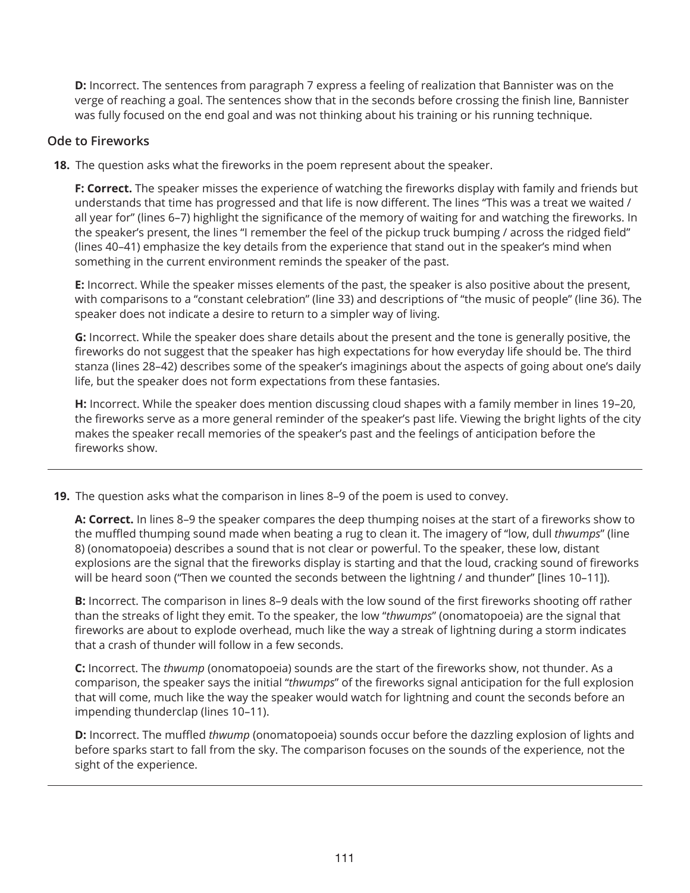**D:** Incorrect. The sentences from paragraph 7 express a feeling of realization that Bannister was on the verge of reaching a goal. The sentences show that in the seconds before crossing the finish line, Bannister was fully focused on the end goal and was not thinking about his training or his running technique.

#### **Ode to Fireworks**

**18.** The question asks what the fireworks in the poem represent about the speaker.

**F: Correct.** The speaker misses the experience of watching the fireworks display with family and friends but understands that time has progressed and that life is now different. The lines "This was a treat we waited / all year for" (lines 6–7) highlight the significance of the memory of waiting for and watching the fireworks. In the speaker's present, the lines "I remember the feel of the pickup truck bumping / across the ridged field" (lines 40–41) emphasize the key details from the experience that stand out in the speaker's mind when something in the current environment reminds the speaker of the past.

**E:** Incorrect. While the speaker misses elements of the past, the speaker is also positive about the present, with comparisons to a "constant celebration" (line 33) and descriptions of "the music of people" (line 36). The speaker does not indicate a desire to return to a simpler way of living.

**G:** Incorrect. While the speaker does share details about the present and the tone is generally positive, the fireworks do not suggest that the speaker has high expectations for how everyday life should be. The third stanza (lines 28–42) describes some of the speaker's imaginings about the aspects of going about one's daily life, but the speaker does not form expectations from these fantasies.

**H:** Incorrect. While the speaker does mention discussing cloud shapes with a family member in lines 19–20, the fireworks serve as a more general reminder of the speaker's past life. Viewing the bright lights of the city makes the speaker recall memories of the speaker's past and the feelings of anticipation before the fireworks show.

**19.** The question asks what the comparison in lines 8–9 of the poem is used to convey.

**A: Correct.** In lines 8–9 the speaker compares the deep thumping noises at the start of a fireworks show to the muffled thumping sound made when beating a rug to clean it. The imagery of "low, dull *thwumps*" (line 8) (onomatopoeia) describes a sound that is not clear or powerful. To the speaker, these low, distant explosions are the signal that the fireworks display is starting and that the loud, cracking sound of fireworks will be heard soon ("Then we counted the seconds between the lightning / and thunder" [lines 10-11]).

**B:** Incorrect. The comparison in lines 8–9 deals with the low sound of the first fireworks shooting off rather than the streaks of light they emit. To the speaker, the low "*thwumps*" (onomatopoeia) are the signal that fireworks are about to explode overhead, much like the way a streak of lightning during a storm indicates that a crash of thunder will follow in a few seconds.

**C:** Incorrect. The *thwump* (onomatopoeia) sounds are the start of the fireworks show, not thunder. As a comparison, the speaker says the initial "*thwumps*" of the fireworks signal anticipation for the full explosion that will come, much like the way the speaker would watch for lightning and count the seconds before an impending thunderclap (lines 10–11).

**D:** Incorrect. The muffled *thwump* (onomatopoeia) sounds occur before the dazzling explosion of lights and before sparks start to fall from the sky. The comparison focuses on the sounds of the experience, not the sight of the experience.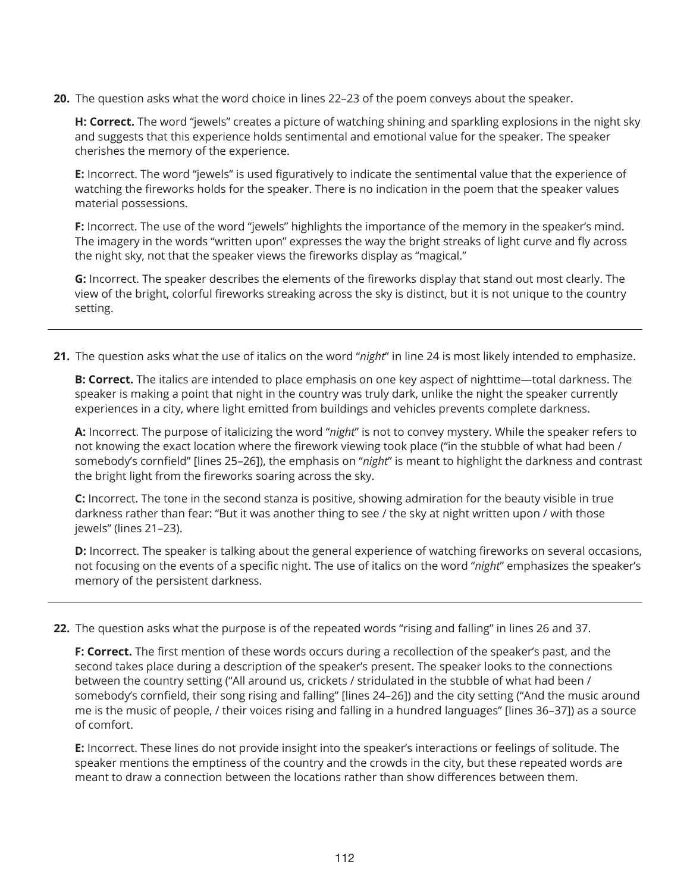**20.** The question asks what the word choice in lines 22–23 of the poem conveys about the speaker.

**H: Correct.** The word "jewels" creates a picture of watching shining and sparkling explosions in the night sky and suggests that this experience holds sentimental and emotional value for the speaker. The speaker cherishes the memory of the experience.

**E:** Incorrect. The word "jewels" is used figuratively to indicate the sentimental value that the experience of watching the fireworks holds for the speaker. There is no indication in the poem that the speaker values material possessions.

**F:** Incorrect. The use of the word "jewels" highlights the importance of the memory in the speaker's mind. The imagery in the words "written upon" expresses the way the bright streaks of light curve and fly across the night sky, not that the speaker views the fireworks display as "magical."

**G:** Incorrect. The speaker describes the elements of the fireworks display that stand out most clearly. The view of the bright, colorful fireworks streaking across the sky is distinct, but it is not unique to the country setting.

**21.** The question asks what the use of italics on the word "*night*" in line 24 is most likely intended to emphasize.

**B: Correct.** The italics are intended to place emphasis on one key aspect of nighttime—total darkness. The speaker is making a point that night in the country was truly dark, unlike the night the speaker currently experiences in a city, where light emitted from buildings and vehicles prevents complete darkness.

**A:** Incorrect. The purpose of italicizing the word "*night*" is not to convey mystery. While the speaker refers to not knowing the exact location where the firework viewing took place ("in the stubble of what had been / somebody's cornfield" [lines 25–26]), the emphasis on "*night*" is meant to highlight the darkness and contrast the bright light from the fireworks soaring across the sky.

**C:** Incorrect. The tone in the second stanza is positive, showing admiration for the beauty visible in true darkness rather than fear: "But it was another thing to see / the sky at night written upon / with those jewels" (lines 21–23).

**D:** Incorrect. The speaker is talking about the general experience of watching fireworks on several occasions, not focusing on the events of a specific night. The use of italics on the word "*night*" emphasizes the speaker's memory of the persistent darkness.

**22.** The question asks what the purpose is of the repeated words "rising and falling" in lines 26 and 37.

**F: Correct.** The first mention of these words occurs during a recollection of the speaker's past, and the second takes place during a description of the speaker's present. The speaker looks to the connections between the country setting ("All around us, crickets / stridulated in the stubble of what had been / somebody's cornfield, their song rising and falling" [lines 24–26]) and the city setting ("And the music around me is the music of people, / their voices rising and falling in a hundred languages" [lines 36–37]) as a source of comfort.

**E:** Incorrect. These lines do not provide insight into the speaker's interactions or feelings of solitude. The speaker mentions the emptiness of the country and the crowds in the city, but these repeated words are meant to draw a connection between the locations rather than show differences between them.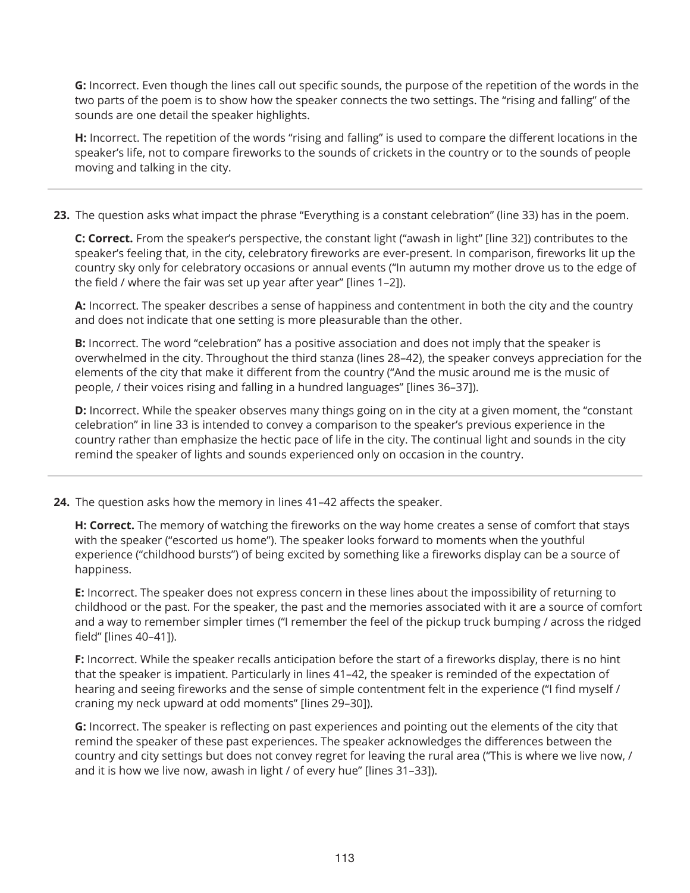**G:** Incorrect. Even though the lines call out specific sounds, the purpose of the repetition of the words in the two parts of the poem is to show how the speaker connects the two settings. The "rising and falling" of the sounds are one detail the speaker highlights.

**H:** Incorrect. The repetition of the words "rising and falling" is used to compare the different locations in the speaker's life, not to compare fireworks to the sounds of crickets in the country or to the sounds of people moving and talking in the city.

**23.** The question asks what impact the phrase "Everything is a constant celebration" (line 33) has in the poem.

**C: Correct.** From the speaker's perspective, the constant light ("awash in light" [line 32]) contributes to the speaker's feeling that, in the city, celebratory fireworks are ever-present. In comparison, fireworks lit up the country sky only for celebratory occasions or annual events ("In autumn my mother drove us to the edge of the field / where the fair was set up year after year" [lines 1–2]).

**A:** Incorrect. The speaker describes a sense of happiness and contentment in both the city and the country and does not indicate that one setting is more pleasurable than the other.

**B:** Incorrect. The word "celebration" has a positive association and does not imply that the speaker is overwhelmed in the city. Throughout the third stanza (lines 28–42), the speaker conveys appreciation for the elements of the city that make it different from the country ("And the music around me is the music of people, / their voices rising and falling in a hundred languages" [lines 36–37]).

**D:** Incorrect. While the speaker observes many things going on in the city at a given moment, the "constant celebration" in line 33 is intended to convey a comparison to the speaker's previous experience in the country rather than emphasize the hectic pace of life in the city. The continual light and sounds in the city remind the speaker of lights and sounds experienced only on occasion in the country.

**24.** The question asks how the memory in lines 41–42 affects the speaker.

**H: Correct.** The memory of watching the fireworks on the way home creates a sense of comfort that stays with the speaker ("escorted us home"). The speaker looks forward to moments when the youthful experience ("childhood bursts") of being excited by something like a fireworks display can be a source of happiness.

**E:** Incorrect. The speaker does not express concern in these lines about the impossibility of returning to childhood or the past. For the speaker, the past and the memories associated with it are a source of comfort and a way to remember simpler times ("I remember the feel of the pickup truck bumping / across the ridged field" [lines 40–41]).

**F:** Incorrect. While the speaker recalls anticipation before the start of a fireworks display, there is no hint that the speaker is impatient. Particularly in lines 41–42, the speaker is reminded of the expectation of hearing and seeing fireworks and the sense of simple contentment felt in the experience ("I find myself / craning my neck upward at odd moments" [lines 29–30]).

**G:** Incorrect. The speaker is reflecting on past experiences and pointing out the elements of the city that remind the speaker of these past experiences. The speaker acknowledges the differences between the country and city settings but does not convey regret for leaving the rural area ("This is where we live now, / and it is how we live now, awash in light / of every hue" [lines 31–33]).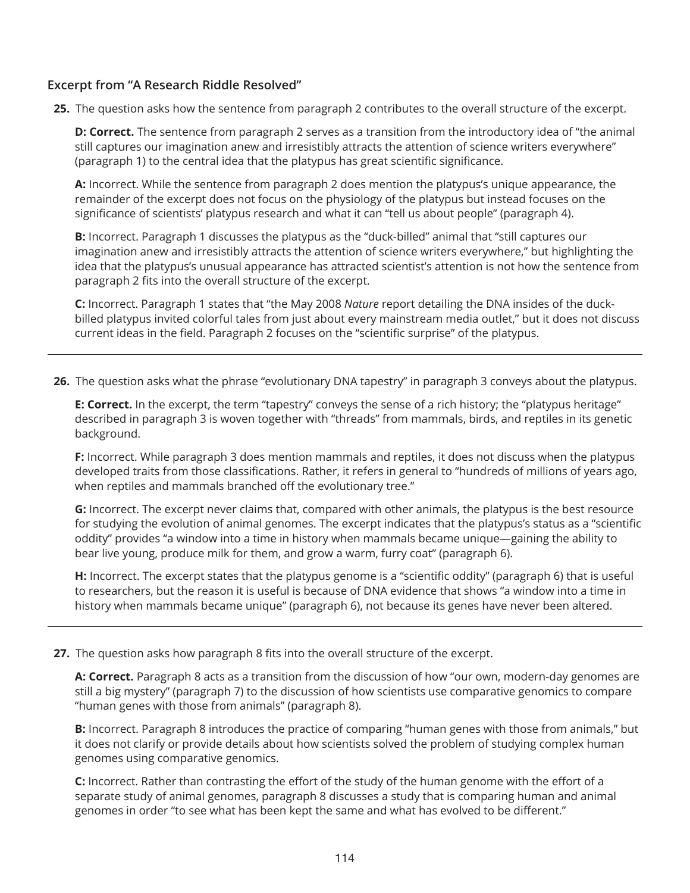## **Excerpt from "A Research Riddle Resolved"**

**25.** The question asks how the sentence from paragraph 2 contributes to the overall structure of the excerpt.

**D: Correct.** The sentence from paragraph 2 serves as a transition from the introductory idea of "the animal still captures our imagination anew and irresistibly attracts the attention of science writers everywhere" (paragraph 1) to the central idea that the platypus has great scientific significance.

**A:** Incorrect. While the sentence from paragraph 2 does mention the platypus's unique appearance, the remainder of the excerpt does not focus on the physiology of the platypus but instead focuses on the significance of scientists' platypus research and what it can "tell us about people" (paragraph 4).

**B:** Incorrect. Paragraph 1 discusses the platypus as the "duck-billed" animal that "still captures our imagination anew and irresistibly attracts the attention of science writers everywhere," but highlighting the idea that the platypus's unusual appearance has attracted scientist's attention is not how the sentence from paragraph 2 fits into the overall structure of the excerpt.

**C:** Incorrect. Paragraph 1 states that "the May 2008 *Nature* report detailing the DNA insides of the duckbilled platypus invited colorful tales from just about every mainstream media outlet," but it does not discuss current ideas in the field. Paragraph 2 focuses on the "scientific surprise" of the platypus.

**26.** The question asks what the phrase "evolutionary DNA tapestry" in paragraph 3 conveys about the platypus.

**E: Correct.** In the excerpt, the term "tapestry" conveys the sense of a rich history; the "platypus heritage" described in paragraph 3 is woven together with "threads" from mammals, birds, and reptiles in its genetic background.

**F:** Incorrect. While paragraph 3 does mention mammals and reptiles, it does not discuss when the platypus developed traits from those classifications. Rather, it refers in general to "hundreds of millions of years ago, when reptiles and mammals branched off the evolutionary tree."

**G:** Incorrect. The excerpt never claims that, compared with other animals, the platypus is the best resource for studying the evolution of animal genomes. The excerpt indicates that the platypus's status as a "scientific oddity" provides "a window into a time in history when mammals became unique—gaining the ability to bear live young, produce milk for them, and grow a warm, furry coat" (paragraph 6).

**H:** Incorrect. The excerpt states that the platypus genome is a "scientific oddity" (paragraph 6) that is useful to researchers, but the reason it is useful is because of DNA evidence that shows "a window into a time in history when mammals became unique" (paragraph 6), not because its genes have never been altered.

**27.** The question asks how paragraph 8 fits into the overall structure of the excerpt.

**A: Correct.** Paragraph 8 acts as a transition from the discussion of how "our own, modern-day genomes are still a big mystery" (paragraph 7) to the discussion of how scientists use comparative genomics to compare "human genes with those from animals" (paragraph 8).

**B:** Incorrect. Paragraph 8 introduces the practice of comparing "human genes with those from animals," but it does not clarify or provide details about how scientists solved the problem of studying complex human genomes using comparative genomics.

**C:** Incorrect. Rather than contrasting the effort of the study of the human genome with the effort of a separate study of animal genomes, paragraph 8 discusses a study that is comparing human and animal genomes in order "to see what has been kept the same and what has evolved to be different."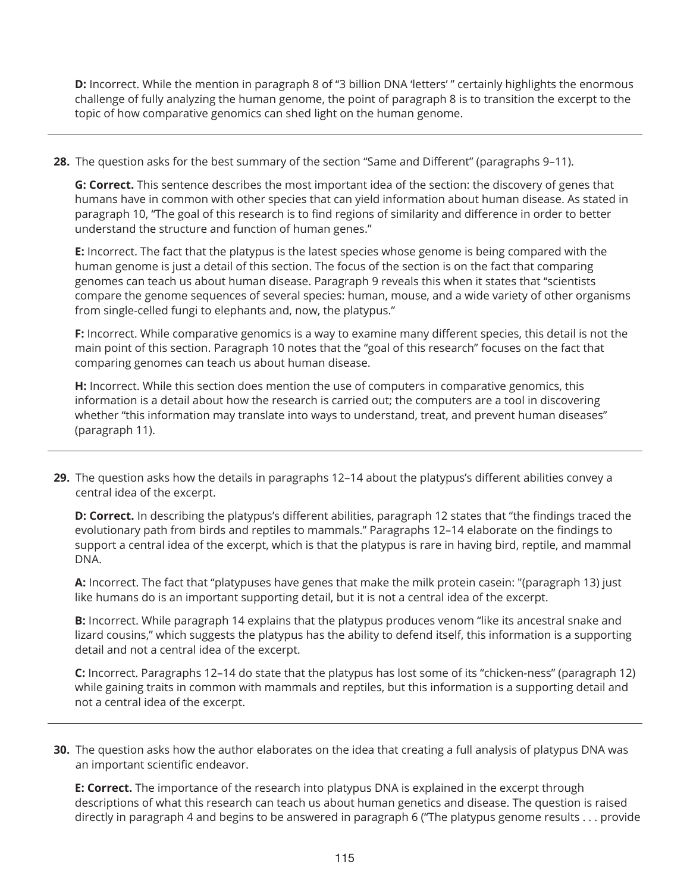**D:** Incorrect. While the mention in paragraph 8 of "3 billion DNA 'letters' " certainly highlights the enormous challenge of fully analyzing the human genome, the point of paragraph 8 is to transition the excerpt to the topic of how comparative genomics can shed light on the human genome.

**28.** The question asks for the best summary of the section "Same and Different" (paragraphs 9–11).

**G: Correct.** This sentence describes the most important idea of the section: the discovery of genes that humans have in common with other species that can yield information about human disease. As stated in paragraph 10, "The goal of this research is to find regions of similarity and difference in order to better understand the structure and function of human genes."

**E:** Incorrect. The fact that the platypus is the latest species whose genome is being compared with the human genome is just a detail of this section. The focus of the section is on the fact that comparing genomes can teach us about human disease. Paragraph 9 reveals this when it states that "scientists compare the genome sequences of several species: human, mouse, and a wide variety of other organisms from single-celled fungi to elephants and, now, the platypus."

**F:** Incorrect. While comparative genomics is a way to examine many different species, this detail is not the main point of this section. Paragraph 10 notes that the "goal of this research" focuses on the fact that comparing genomes can teach us about human disease.

**H:** Incorrect. While this section does mention the use of computers in comparative genomics, this information is a detail about how the research is carried out; the computers are a tool in discovering whether "this information may translate into ways to understand, treat, and prevent human diseases" (paragraph 11).

**29.** The question asks how the details in paragraphs 12–14 about the platypus's different abilities convey a central idea of the excerpt.

**D: Correct.** In describing the platypus's different abilities, paragraph 12 states that "the findings traced the evolutionary path from birds and reptiles to mammals." Paragraphs 12–14 elaborate on the findings to support a central idea of the excerpt, which is that the platypus is rare in having bird, reptile, and mammal DNA.

**A:** Incorrect. The fact that "platypuses have genes that make the milk protein casein: "(paragraph 13) just like humans do is an important supporting detail, but it is not a central idea of the excerpt.

**B:** Incorrect. While paragraph 14 explains that the platypus produces venom "like its ancestral snake and lizard cousins," which suggests the platypus has the ability to defend itself, this information is a supporting detail and not a central idea of the excerpt.

**C:** Incorrect. Paragraphs 12–14 do state that the platypus has lost some of its "chicken-ness" (paragraph 12) while gaining traits in common with mammals and reptiles, but this information is a supporting detail and not a central idea of the excerpt.

**30.** The question asks how the author elaborates on the idea that creating a full analysis of platypus DNA was an important scientific endeavor.

**E: Correct.** The importance of the research into platypus DNA is explained in the excerpt through descriptions of what this research can teach us about human genetics and disease. The question is raised directly in paragraph 4 and begins to be answered in paragraph 6 ("The platypus genome results ... provide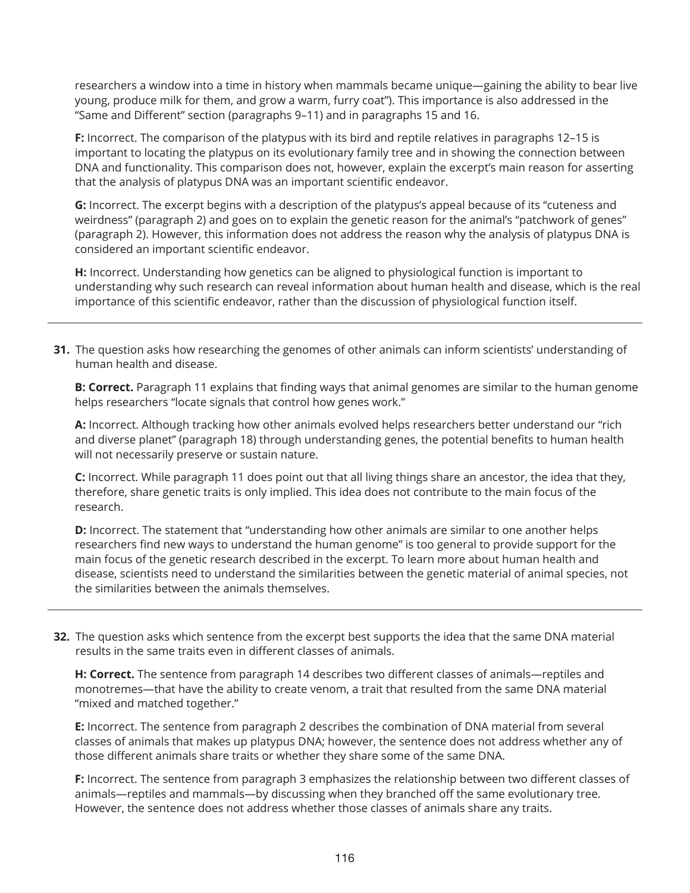researchers a window into a time in history when mammals became unique—gaining the ability to bear live young, produce milk for them, and grow a warm, furry coat"). This importance is also addressed in the "Same and Different" section (paragraphs 9–11) and in paragraphs 15 and 16.

**F:** Incorrect. The comparison of the platypus with its bird and reptile relatives in paragraphs 12–15 is important to locating the platypus on its evolutionary family tree and in showing the connection between DNA and functionality. This comparison does not, however, explain the excerpt's main reason for asserting that the analysis of platypus DNA was an important scientific endeavor.

**G:** Incorrect. The excerpt begins with a description of the platypus's appeal because of its "cuteness and weirdness" (paragraph 2) and goes on to explain the genetic reason for the animal's "patchwork of genes" (paragraph 2). However, this information does not address the reason why the analysis of platypus DNA is considered an important scientific endeavor.

**H:** Incorrect. Understanding how genetics can be aligned to physiological function is important to understanding why such research can reveal information about human health and disease, which is the real importance of this scientific endeavor, rather than the discussion of physiological function itself.

**31.** The question asks how researching the genomes of other animals can inform scientists' understanding of human health and disease.

**B: Correct.** Paragraph 11 explains that finding ways that animal genomes are similar to the human genome helps researchers "locate signals that control how genes work."

**A:** Incorrect. Although tracking how other animals evolved helps researchers better understand our "rich and diverse planet" (paragraph 18) through understanding genes, the potential benefits to human health will not necessarily preserve or sustain nature.

**C:** Incorrect. While paragraph 11 does point out that all living things share an ancestor, the idea that they, therefore, share genetic traits is only implied. This idea does not contribute to the main focus of the research.

**D:** Incorrect. The statement that "understanding how other animals are similar to one another helps researchers find new ways to understand the human genome" is too general to provide support for the main focus of the genetic research described in the excerpt. To learn more about human health and disease, scientists need to understand the similarities between the genetic material of animal species, not the similarities between the animals themselves.

**32.** The question asks which sentence from the excerpt best supports the idea that the same DNA material results in the same traits even in different classes of animals.

**H: Correct.** The sentence from paragraph 14 describes two different classes of animals—reptiles and monotremes—that have the ability to create venom, a trait that resulted from the same DNA material "mixed and matched together."

**E:** Incorrect. The sentence from paragraph 2 describes the combination of DNA material from several classes of animals that makes up platypus DNA; however, the sentence does not address whether any of those different animals share traits or whether they share some of the same DNA.

**F:** Incorrect. The sentence from paragraph 3 emphasizes the relationship between two different classes of animals—reptiles and mammals—by discussing when they branched off the same evolutionary tree. However, the sentence does not address whether those classes of animals share any traits.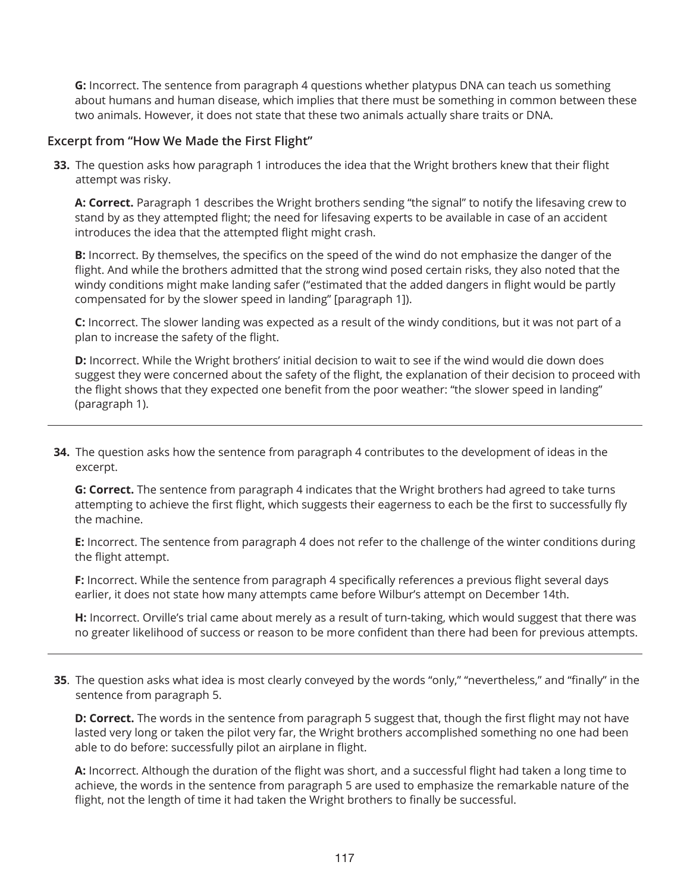**G:** Incorrect. The sentence from paragraph 4 questions whether platypus DNA can teach us something about humans and human disease, which implies that there must be something in common between these two animals. However, it does not state that these two animals actually share traits or DNA.

#### **Excerpt from "How We Made the First Flight"**

**33.** The question asks how paragraph 1 introduces the idea that the Wright brothers knew that their flight attempt was risky.

**A: Correct.** Paragraph 1 describes the Wright brothers sending "the signal" to notify the lifesaving crew to stand by as they attempted flight; the need for lifesaving experts to be available in case of an accident introduces the idea that the attempted flight might crash.

**B:** Incorrect. By themselves, the specifics on the speed of the wind do not emphasize the danger of the flight. And while the brothers admitted that the strong wind posed certain risks, they also noted that the windy conditions might make landing safer ("estimated that the added dangers in flight would be partly compensated for by the slower speed in landing" [paragraph 1]).

**C:** Incorrect. The slower landing was expected as a result of the windy conditions, but it was not part of a plan to increase the safety of the flight.

**D:** Incorrect. While the Wright brothers' initial decision to wait to see if the wind would die down does suggest they were concerned about the safety of the flight, the explanation of their decision to proceed with the flight shows that they expected one benefit from the poor weather: "the slower speed in landing" (paragraph 1).

**34.** The question asks how the sentence from paragraph 4 contributes to the development of ideas in the excerpt.

**G: Correct.** The sentence from paragraph 4 indicates that the Wright brothers had agreed to take turns attempting to achieve the first flight, which suggests their eagerness to each be the first to successfully fly the machine.

**E:** Incorrect. The sentence from paragraph 4 does not refer to the challenge of the winter conditions during the flight attempt.

**F:** Incorrect. While the sentence from paragraph 4 specifically references a previous flight several days earlier, it does not state how many attempts came before Wilbur's attempt on December 14th.

**H:** Incorrect. Orville's trial came about merely as a result of turn-taking, which would suggest that there was no greater likelihood of success or reason to be more confident than there had been for previous attempts.

**35**. The question asks what idea is most clearly conveyed by the words "only," "nevertheless," and "finally" in the sentence from paragraph 5.

**D: Correct.** The words in the sentence from paragraph 5 suggest that, though the first flight may not have lasted very long or taken the pilot very far, the Wright brothers accomplished something no one had been able to do before: successfully pilot an airplane in flight.

**A:** Incorrect. Although the duration of the flight was short, and a successful flight had taken a long time to achieve, the words in the sentence from paragraph 5 are used to emphasize the remarkable nature of the flight, not the length of time it had taken the Wright brothers to finally be successful.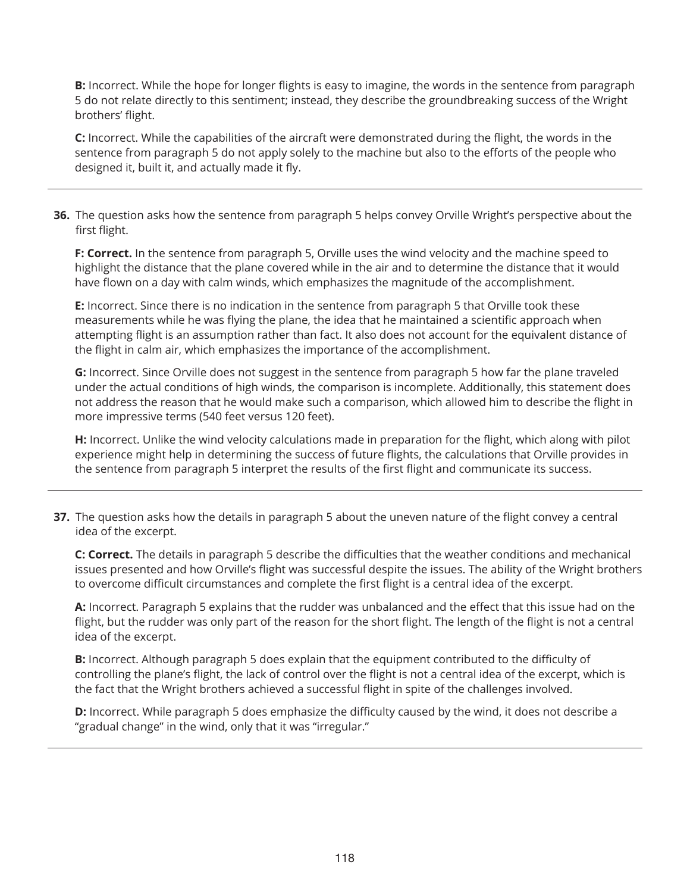**B:** Incorrect. While the hope for longer flights is easy to imagine, the words in the sentence from paragraph 5 do not relate directly to this sentiment; instead, they describe the groundbreaking success of the Wright brothers' flight.

**C:** Incorrect. While the capabilities of the aircraft were demonstrated during the flight, the words in the sentence from paragraph 5 do not apply solely to the machine but also to the efforts of the people who designed it, built it, and actually made it fly.

**36.** The question asks how the sentence from paragraph 5 helps convey Orville Wright's perspective about the first flight.

**F: Correct.** In the sentence from paragraph 5, Orville uses the wind velocity and the machine speed to highlight the distance that the plane covered while in the air and to determine the distance that it would have flown on a day with calm winds, which emphasizes the magnitude of the accomplishment.

**E:** Incorrect. Since there is no indication in the sentence from paragraph 5 that Orville took these measurements while he was flying the plane, the idea that he maintained a scientific approach when attempting flight is an assumption rather than fact. It also does not account for the equivalent distance of the flight in calm air, which emphasizes the importance of the accomplishment.

**G:** Incorrect. Since Orville does not suggest in the sentence from paragraph 5 how far the plane traveled under the actual conditions of high winds, the comparison is incomplete. Additionally, this statement does not address the reason that he would make such a comparison, which allowed him to describe the flight in more impressive terms (540 feet versus 120 feet).

**H:** Incorrect. Unlike the wind velocity calculations made in preparation for the flight, which along with pilot experience might help in determining the success of future flights, the calculations that Orville provides in the sentence from paragraph 5 interpret the results of the first flight and communicate its success.

**37.** The question asks how the details in paragraph 5 about the uneven nature of the flight convey a central idea of the excerpt.

**C: Correct.** The details in paragraph 5 describe the difficulties that the weather conditions and mechanical issues presented and how Orville's flight was successful despite the issues. The ability of the Wright brothers to overcome difficult circumstances and complete the first flight is a central idea of the excerpt.

**A:** Incorrect. Paragraph 5 explains that the rudder was unbalanced and the effect that this issue had on the flight, but the rudder was only part of the reason for the short flight. The length of the flight is not a central idea of the excerpt.

**B:** Incorrect. Although paragraph 5 does explain that the equipment contributed to the difficulty of controlling the plane's flight, the lack of control over the flight is not a central idea of the excerpt, which is the fact that the Wright brothers achieved a successful flight in spite of the challenges involved.

**D:** Incorrect. While paragraph 5 does emphasize the difficulty caused by the wind, it does not describe a "gradual change" in the wind, only that it was "irregular."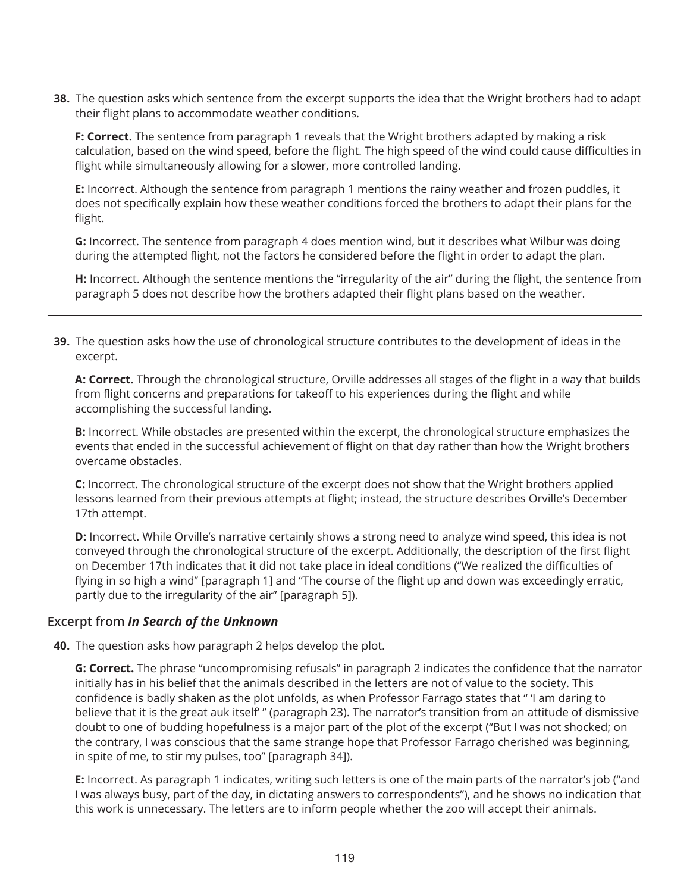**38.** The question asks which sentence from the excerpt supports the idea that the Wright brothers had to adapt their flight plans to accommodate weather conditions.

**F: Correct.** The sentence from paragraph 1 reveals that the Wright brothers adapted by making a risk calculation, based on the wind speed, before the flight. The high speed of the wind could cause difficulties in flight while simultaneously allowing for a slower, more controlled landing.

**E:** Incorrect. Although the sentence from paragraph 1 mentions the rainy weather and frozen puddles, it does not specifically explain how these weather conditions forced the brothers to adapt their plans for the flight.

**G:** Incorrect. The sentence from paragraph 4 does mention wind, but it describes what Wilbur was doing during the attempted flight, not the factors he considered before the flight in order to adapt the plan.

**H:** Incorrect. Although the sentence mentions the "irregularity of the air" during the flight, the sentence from paragraph 5 does not describe how the brothers adapted their flight plans based on the weather.

**39.** The question asks how the use of chronological structure contributes to the development of ideas in the excerpt.

**A: Correct.** Through the chronological structure, Orville addresses all stages of the flight in a way that builds from flight concerns and preparations for takeoff to his experiences during the flight and while accomplishing the successful landing.

**B:** Incorrect. While obstacles are presented within the excerpt, the chronological structure emphasizes the events that ended in the successful achievement of flight on that day rather than how the Wright brothers overcame obstacles.

**C:** Incorrect. The chronological structure of the excerpt does not show that the Wright brothers applied lessons learned from their previous attempts at flight; instead, the structure describes Orville's December 17th attempt.

**D:** Incorrect. While Orville's narrative certainly shows a strong need to analyze wind speed, this idea is not conveyed through the chronological structure of the excerpt. Additionally, the description of the first flight on December 17th indicates that it did not take place in ideal conditions ("We realized the difficulties of flying in so high a wind" [paragraph 1] and "The course of the flight up and down was exceedingly erratic, partly due to the irregularity of the air" [paragraph 5]).

## **Excerpt from** *In Search of the Unknown*

**40.** The question asks how paragraph 2 helps develop the plot.

**G: Correct.** The phrase "uncompromising refusals" in paragraph 2 indicates the confidence that the narrator initially has in his belief that the animals described in the letters are not of value to the society. This confidence is badly shaken as the plot unfolds, as when Professor Farrago states that " 'I am daring to believe that it is the great auk itself' " (paragraph 23). The narrator's transition from an attitude of dismissive doubt to one of budding hopefulness is a major part of the plot of the excerpt ("But I was not shocked; on the contrary, I was conscious that the same strange hope that Professor Farrago cherished was beginning, in spite of me, to stir my pulses, too" [paragraph 34]).

**E:** Incorrect. As paragraph 1 indicates, writing such letters is one of the main parts of the narrator's job ("and I was always busy, part of the day, in dictating answers to correspondents"), and he shows no indication that this work is unnecessary. The letters are to inform people whether the zoo will accept their animals.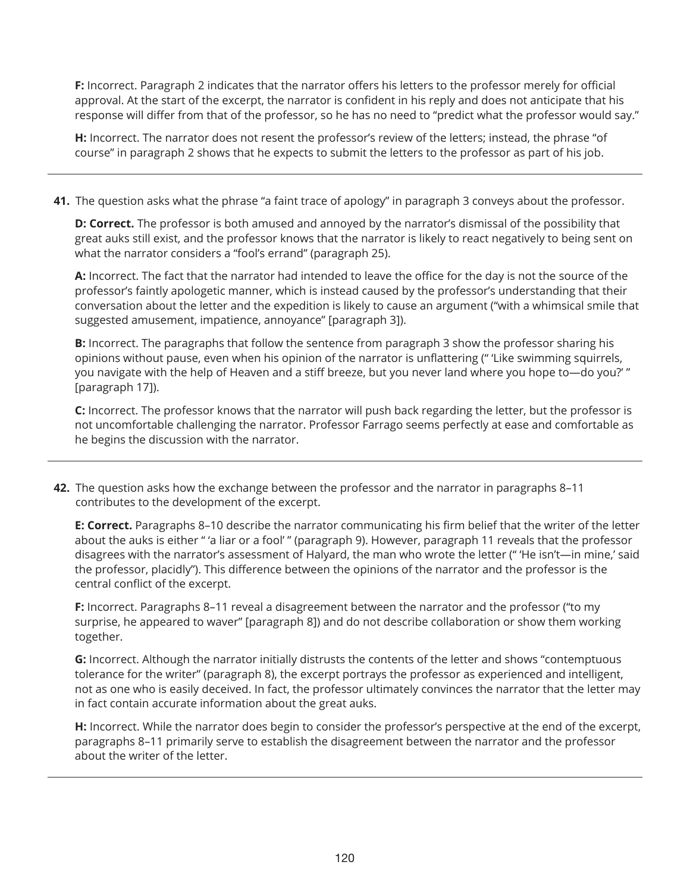**F:** Incorrect. Paragraph 2 indicates that the narrator offers his letters to the professor merely for official approval. At the start of the excerpt, the narrator is confident in his reply and does not anticipate that his response will differ from that of the professor, so he has no need to "predict what the professor would say."

**H:** Incorrect. The narrator does not resent the professor's review of the letters; instead, the phrase "of course" in paragraph 2 shows that he expects to submit the letters to the professor as part of his job.

**41.** The question asks what the phrase "a faint trace of apology" in paragraph 3 conveys about the professor.

**D: Correct.** The professor is both amused and annoyed by the narrator's dismissal of the possibility that great auks still exist, and the professor knows that the narrator is likely to react negatively to being sent on what the narrator considers a "fool's errand" (paragraph 25).

**A:** Incorrect. The fact that the narrator had intended to leave the office for the day is not the source of the professor's faintly apologetic manner, which is instead caused by the professor's understanding that their conversation about the letter and the expedition is likely to cause an argument ("with a whimsical smile that suggested amusement, impatience, annoyance" [paragraph 3]).

**B:** Incorrect. The paragraphs that follow the sentence from paragraph 3 show the professor sharing his opinions without pause, even when his opinion of the narrator is unflattering (" 'Like swimming squirrels, you navigate with the help of Heaven and a stiff breeze, but you never land where you hope to—do you?' " [paragraph 17]).

**C:** Incorrect. The professor knows that the narrator will push back regarding the letter, but the professor is not uncomfortable challenging the narrator. Professor Farrago seems perfectly at ease and comfortable as he begins the discussion with the narrator.

**42.** The question asks how the exchange between the professor and the narrator in paragraphs 8–11 contributes to the development of the excerpt.

**E: Correct.** Paragraphs 8–10 describe the narrator communicating his firm belief that the writer of the letter about the auks is either " 'a liar or a fool' " (paragraph 9). However, paragraph 11 reveals that the professor disagrees with the narrator's assessment of Halyard, the man who wrote the letter (" 'He isn't—in mine,' said the professor, placidly"). This difference between the opinions of the narrator and the professor is the central conflict of the excerpt.

**F:** Incorrect. Paragraphs 8–11 reveal a disagreement between the narrator and the professor ("to my surprise, he appeared to waver" [paragraph 8]) and do not describe collaboration or show them working together.

**G:** Incorrect. Although the narrator initially distrusts the contents of the letter and shows "contemptuous tolerance for the writer" (paragraph 8), the excerpt portrays the professor as experienced and intelligent, not as one who is easily deceived. In fact, the professor ultimately convinces the narrator that the letter may in fact contain accurate information about the great auks.

**H:** Incorrect. While the narrator does begin to consider the professor's perspective at the end of the excerpt, paragraphs 8–11 primarily serve to establish the disagreement between the narrator and the professor about the writer of the letter.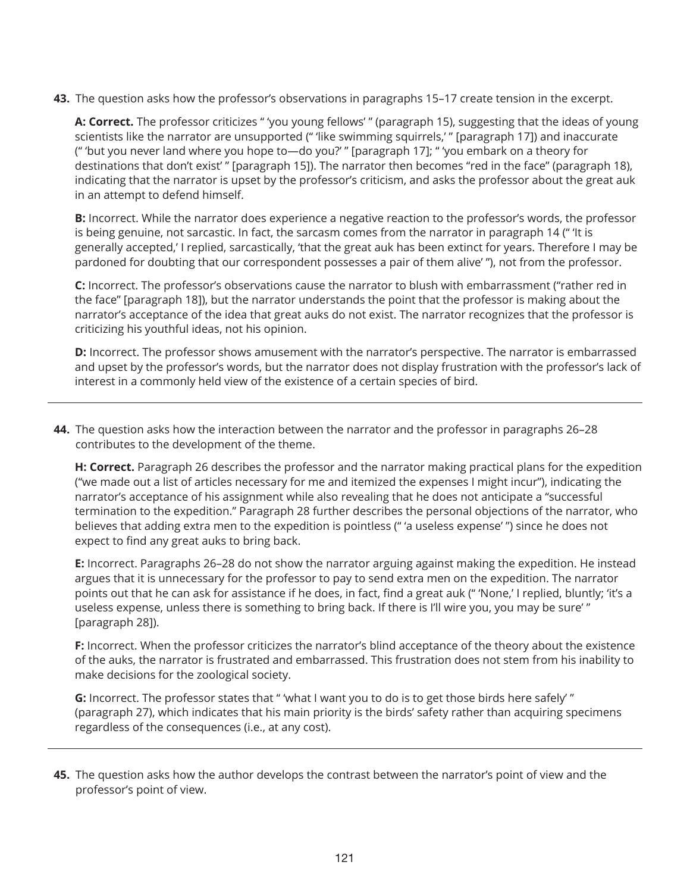**43.** The question asks how the professor's observations in paragraphs 15–17 create tension in the excerpt.

**A: Correct.** The professor criticizes " 'you young fellows' " (paragraph 15), suggesting that the ideas of young scientists like the narrator are unsupported (" 'like swimming squirrels,' " [paragraph 17]) and inaccurate (" 'but you never land where you hope to—do you?' " [paragraph 17]; " 'you embark on a theory for destinations that don't exist' " [paragraph 15]). The narrator then becomes "red in the face" (paragraph 18), indicating that the narrator is upset by the professor's criticism, and asks the professor about the great auk in an attempt to defend himself.

**B:** Incorrect. While the narrator does experience a negative reaction to the professor's words, the professor is being genuine, not sarcastic. In fact, the sarcasm comes from the narrator in paragraph 14 (" 'It is generally accepted,' I replied, sarcastically, 'that the great auk has been extinct for years. Therefore I may be pardoned for doubting that our correspondent possesses a pair of them alive' "), not from the professor.

**C:** Incorrect. The professor's observations cause the narrator to blush with embarrassment ("rather red in the face" [paragraph 18]), but the narrator understands the point that the professor is making about the narrator's acceptance of the idea that great auks do not exist. The narrator recognizes that the professor is criticizing his youthful ideas, not his opinion.

**D:** Incorrect. The professor shows amusement with the narrator's perspective. The narrator is embarrassed and upset by the professor's words, but the narrator does not display frustration with the professor's lack of interest in a commonly held view of the existence of a certain species of bird.

**44.** The question asks how the interaction between the narrator and the professor in paragraphs 26–28 contributes to the development of the theme.

**H: Correct.** Paragraph 26 describes the professor and the narrator making practical plans for the expedition ("we made out a list of articles necessary for me and itemized the expenses I might incur"), indicating the narrator's acceptance of his assignment while also revealing that he does not anticipate a "successful termination to the expedition." Paragraph 28 further describes the personal objections of the narrator, who believes that adding extra men to the expedition is pointless (" 'a useless expense' ") since he does not expect to find any great auks to bring back.

**E:** Incorrect. Paragraphs 26–28 do not show the narrator arguing against making the expedition. He instead argues that it is unnecessary for the professor to pay to send extra men on the expedition. The narrator points out that he can ask for assistance if he does, in fact, find a great auk (" 'None,' I replied, bluntly; 'it's a useless expense, unless there is something to bring back. If there is I'll wire you, you may be sure' " [paragraph 28]).

**F:** Incorrect. When the professor criticizes the narrator's blind acceptance of the theory about the existence of the auks, the narrator is frustrated and embarrassed. This frustration does not stem from his inability to make decisions for the zoological society.

**G:** Incorrect. The professor states that " 'what I want you to do is to get those birds here safely' " (paragraph 27), which indicates that his main priority is the birds' safety rather than acquiring specimens regardless of the consequences (i.e., at any cost).

**45.** The question asks how the author develops the contrast between the narrator's point of view and the professor's point of view.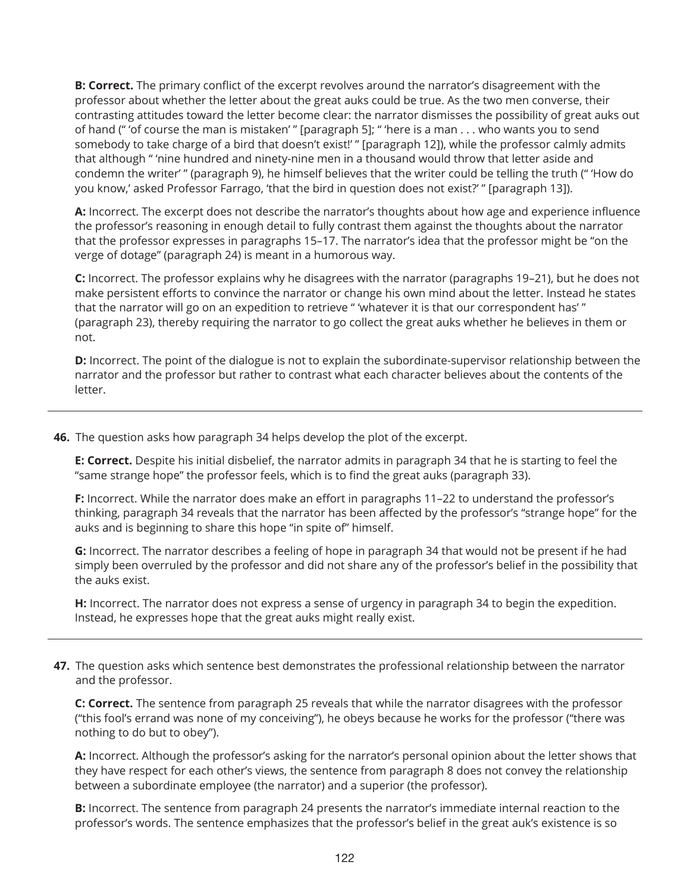**B: Correct.** The primary conflict of the excerpt revolves around the narrator's disagreement with the professor about whether the letter about the great auks could be true. As the two men converse, their contrasting attitudes toward the letter become clear: the narrator dismisses the possibility of great auks out of hand (" 'of course the man is mistaken' " [paragraph 5]; " 'here is a man ... who wants you to send somebody to take charge of a bird that doesn't exist!' " [paragraph 12]), while the professor calmly admits that although " 'nine hundred and ninety-nine men in a thousand would throw that letter aside and condemn the writer' " (paragraph 9), he himself believes that the writer could be telling the truth (" 'How do you know,' asked Professor Farrago, 'that the bird in question does not exist?' " [paragraph 13]).

**A:** Incorrect. The excerpt does not describe the narrator's thoughts about how age and experience influence the professor's reasoning in enough detail to fully contrast them against the thoughts about the narrator that the professor expresses in paragraphs 15–17. The narrator's idea that the professor might be "on the verge of dotage" (paragraph 24) is meant in a humorous way.

**C:** Incorrect. The professor explains why he disagrees with the narrator (paragraphs 19–21), but he does not make persistent efforts to convince the narrator or change his own mind about the letter. Instead he states that the narrator will go on an expedition to retrieve " 'whatever it is that our correspondent has' " (paragraph 23), thereby requiring the narrator to go collect the great auks whether he believes in them or not.

**D:** Incorrect. The point of the dialogue is not to explain the subordinate-supervisor relationship between the narrator and the professor but rather to contrast what each character believes about the contents of the letter.

**46.** The question asks how paragraph 34 helps develop the plot of the excerpt.

**E: Correct.** Despite his initial disbelief, the narrator admits in paragraph 34 that he is starting to feel the "same strange hope" the professor feels, which is to find the great auks (paragraph 33).

**F:** Incorrect. While the narrator does make an effort in paragraphs 11–22 to understand the professor's thinking, paragraph 34 reveals that the narrator has been affected by the professor's "strange hope" for the auks and is beginning to share this hope "in spite of" himself.

**G:** Incorrect. The narrator describes a feeling of hope in paragraph 34 that would not be present if he had simply been overruled by the professor and did not share any of the professor's belief in the possibility that the auks exist.

**H:** Incorrect. The narrator does not express a sense of urgency in paragraph 34 to begin the expedition. Instead, he expresses hope that the great auks might really exist.

**47.** The question asks which sentence best demonstrates the professional relationship between the narrator and the professor.

**C: Correct.** The sentence from paragraph 25 reveals that while the narrator disagrees with the professor ("this fool's errand was none of my conceiving"), he obeys because he works for the professor ("there was nothing to do but to obey").

**A:** Incorrect. Although the professor's asking for the narrator's personal opinion about the letter shows that they have respect for each other's views, the sentence from paragraph 8 does not convey the relationship between a subordinate employee (the narrator) and a superior (the professor).

**B:** Incorrect. The sentence from paragraph 24 presents the narrator's immediate internal reaction to the professor's words. The sentence emphasizes that the professor's belief in the great auk's existence is so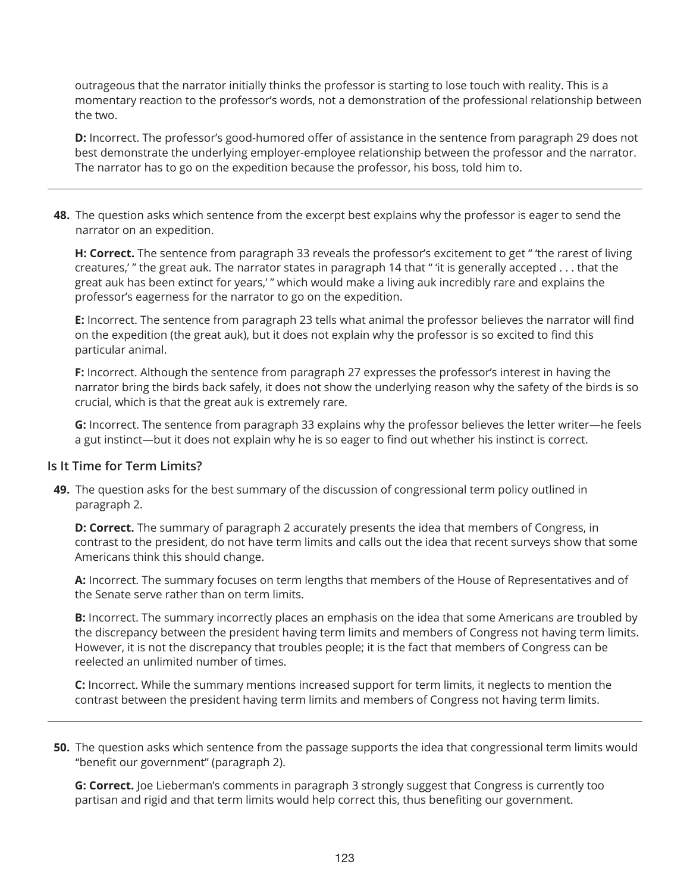outrageous that the narrator initially thinks the professor is starting to lose touch with reality. This is a momentary reaction to the professor's words, not a demonstration of the professional relationship between the two.

**D:** Incorrect. The professor's good-humored offer of assistance in the sentence from paragraph 29 does not best demonstrate the underlying employer-employee relationship between the professor and the narrator. The narrator has to go on the expedition because the professor, his boss, told him to.

**48.** The question asks which sentence from the excerpt best explains why the professor is eager to send the narrator on an expedition.

**H: Correct.** The sentence from paragraph 33 reveals the professor's excitement to get " 'the rarest of living creatures,' " the great auk. The narrator states in paragraph 14 that " 'it is generally accepted ... that the great auk has been extinct for years,' " which would make a living auk incredibly rare and explains the professor's eagerness for the narrator to go on the expedition.

**E:** Incorrect. The sentence from paragraph 23 tells what animal the professor believes the narrator will find on the expedition (the great auk), but it does not explain why the professor is so excited to find this particular animal.

**F:** Incorrect. Although the sentence from paragraph 27 expresses the professor's interest in having the narrator bring the birds back safely, it does not show the underlying reason why the safety of the birds is so crucial, which is that the great auk is extremely rare.

**G:** Incorrect. The sentence from paragraph 33 explains why the professor believes the letter writer—he feels a gut instinct—but it does not explain why he is so eager to find out whether his instinct is correct.

#### **Is It Time for Term Limits?**

**49.** The question asks for the best summary of the discussion of congressional term policy outlined in paragraph 2.

**D: Correct.** The summary of paragraph 2 accurately presents the idea that members of Congress, in contrast to the president, do not have term limits and calls out the idea that recent surveys show that some Americans think this should change.

**A:** Incorrect. The summary focuses on term lengths that members of the House of Representatives and of the Senate serve rather than on term limits.

**B:** Incorrect. The summary incorrectly places an emphasis on the idea that some Americans are troubled by the discrepancy between the president having term limits and members of Congress not having term limits. However, it is not the discrepancy that troubles people; it is the fact that members of Congress can be reelected an unlimited number of times.

**C:** Incorrect. While the summary mentions increased support for term limits, it neglects to mention the contrast between the president having term limits and members of Congress not having term limits.

**50.** The question asks which sentence from the passage supports the idea that congressional term limits would "benefit our government" (paragraph 2).

**G: Correct.** Joe Lieberman's comments in paragraph 3 strongly suggest that Congress is currently too partisan and rigid and that term limits would help correct this, thus benefiting our government.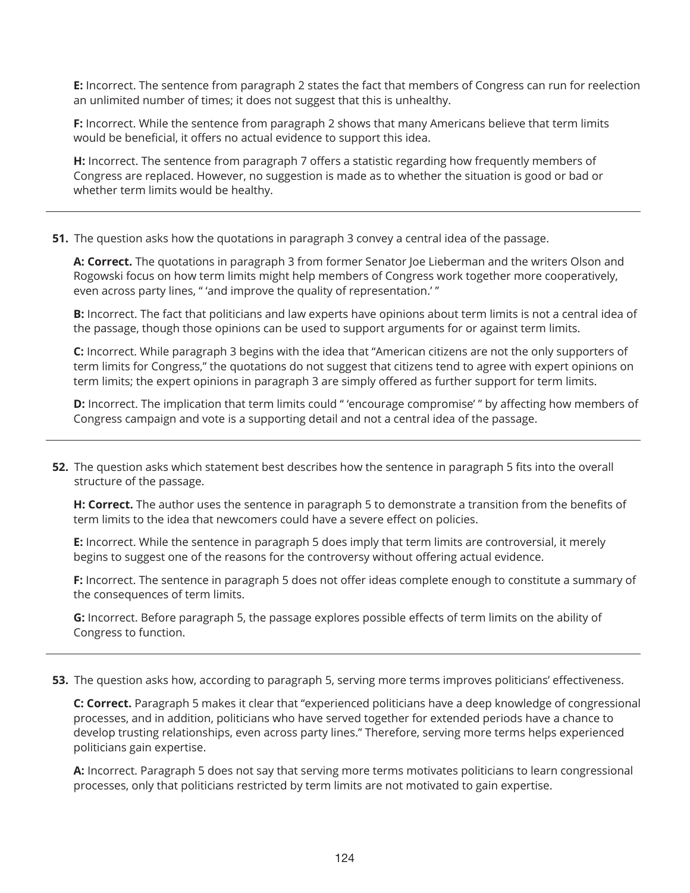**E:** Incorrect. The sentence from paragraph 2 states the fact that members of Congress can run for reelection an unlimited number of times; it does not suggest that this is unhealthy.

**F:** Incorrect. While the sentence from paragraph 2 shows that many Americans believe that term limits would be beneficial, it offers no actual evidence to support this idea.

**H:** Incorrect. The sentence from paragraph 7 offers a statistic regarding how frequently members of Congress are replaced. However, no suggestion is made as to whether the situation is good or bad or whether term limits would be healthy.

#### **51.** The question asks how the quotations in paragraph 3 convey a central idea of the passage.

**A: Correct.** The quotations in paragraph 3 from former Senator Joe Lieberman and the writers Olson and Rogowski focus on how term limits might help members of Congress work together more cooperatively, even across party lines, " 'and improve the quality of representation.' "

**B:** Incorrect. The fact that politicians and law experts have opinions about term limits is not a central idea of the passage, though those opinions can be used to support arguments for or against term limits.

**C:** Incorrect. While paragraph 3 begins with the idea that "American citizens are not the only supporters of term limits for Congress," the quotations do not suggest that citizens tend to agree with expert opinions on term limits; the expert opinions in paragraph 3 are simply offered as further support for term limits.

**D:** Incorrect. The implication that term limits could " 'encourage compromise' " by affecting how members of Congress campaign and vote is a supporting detail and not a central idea of the passage.

**52.** The question asks which statement best describes how the sentence in paragraph 5 fits into the overall structure of the passage.

**H: Correct.** The author uses the sentence in paragraph 5 to demonstrate a transition from the benefits of term limits to the idea that newcomers could have a severe effect on policies.

**E:** Incorrect. While the sentence in paragraph 5 does imply that term limits are controversial, it merely begins to suggest one of the reasons for the controversy without offering actual evidence.

**F:** Incorrect. The sentence in paragraph 5 does not offer ideas complete enough to constitute a summary of the consequences of term limits.

**G:** Incorrect. Before paragraph 5, the passage explores possible effects of term limits on the ability of Congress to function.

**53.** The question asks how, according to paragraph 5, serving more terms improves politicians' effectiveness.

**C: Correct.** Paragraph 5 makes it clear that "experienced politicians have a deep knowledge of congressional processes, and in addition, politicians who have served together for extended periods have a chance to develop trusting relationships, even across party lines." Therefore, serving more terms helps experienced politicians gain expertise.

**A:** Incorrect. Paragraph 5 does not say that serving more terms motivates politicians to learn congressional processes, only that politicians restricted by term limits are not motivated to gain expertise.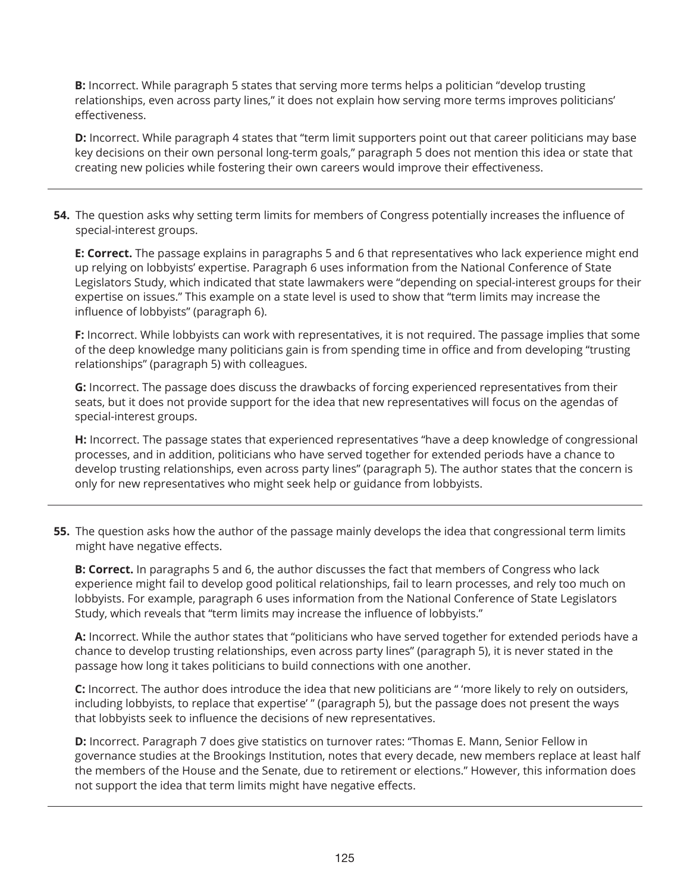**B:** Incorrect. While paragraph 5 states that serving more terms helps a politician "develop trusting relationships, even across party lines," it does not explain how serving more terms improves politicians' effectiveness.

**D:** Incorrect. While paragraph 4 states that "term limit supporters point out that career politicians may base key decisions on their own personal long-term goals," paragraph 5 does not mention this idea or state that creating new policies while fostering their own careers would improve their effectiveness.

**54.** The question asks why setting term limits for members of Congress potentially increases the influence of special-interest groups.

**E: Correct.** The passage explains in paragraphs 5 and 6 that representatives who lack experience might end up relying on lobbyists' expertise. Paragraph 6 uses information from the National Conference of State Legislators Study, which indicated that state lawmakers were "depending on special-interest groups for their expertise on issues." This example on a state level is used to show that "term limits may increase the influence of lobbyists" (paragraph 6).

**F:** Incorrect. While lobbyists can work with representatives, it is not required. The passage implies that some of the deep knowledge many politicians gain is from spending time in office and from developing "trusting relationships" (paragraph 5) with colleagues.

**G:** Incorrect. The passage does discuss the drawbacks of forcing experienced representatives from their seats, but it does not provide support for the idea that new representatives will focus on the agendas of special-interest groups.

**H:** Incorrect. The passage states that experienced representatives "have a deep knowledge of congressional processes, and in addition, politicians who have served together for extended periods have a chance to develop trusting relationships, even across party lines" (paragraph 5). The author states that the concern is only for new representatives who might seek help or guidance from lobbyists.

**55.** The question asks how the author of the passage mainly develops the idea that congressional term limits might have negative effects.

**B: Correct.** In paragraphs 5 and 6, the author discusses the fact that members of Congress who lack experience might fail to develop good political relationships, fail to learn processes, and rely too much on lobbyists. For example, paragraph 6 uses information from the National Conference of State Legislators Study, which reveals that "term limits may increase the influence of lobbyists."

**A:** Incorrect. While the author states that "politicians who have served together for extended periods have a chance to develop trusting relationships, even across party lines" (paragraph 5), it is never stated in the passage how long it takes politicians to build connections with one another.

**C:** Incorrect. The author does introduce the idea that new politicians are " 'more likely to rely on outsiders, including lobbyists, to replace that expertise' " (paragraph 5), but the passage does not present the ways that lobbyists seek to influence the decisions of new representatives.

**D:** Incorrect. Paragraph 7 does give statistics on turnover rates: "Thomas E. Mann, Senior Fellow in governance studies at the Brookings Institution, notes that every decade, new members replace at least half the members of the House and the Senate, due to retirement or elections." However, this information does not support the idea that term limits might have negative effects.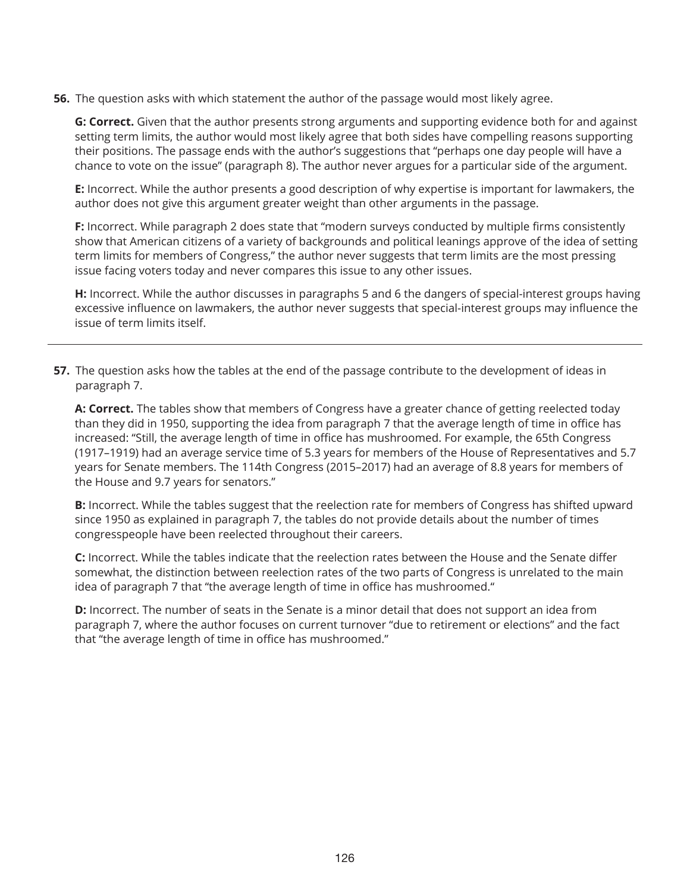**56.** The question asks with which statement the author of the passage would most likely agree.

**G: Correct.** Given that the author presents strong arguments and supporting evidence both for and against setting term limits, the author would most likely agree that both sides have compelling reasons supporting their positions. The passage ends with the author's suggestions that "perhaps one day people will have a chance to vote on the issue" (paragraph 8). The author never argues for a particular side of the argument.

**E:** Incorrect. While the author presents a good description of why expertise is important for lawmakers, the author does not give this argument greater weight than other arguments in the passage.

**F:** Incorrect. While paragraph 2 does state that "modern surveys conducted by multiple firms consistently show that American citizens of a variety of backgrounds and political leanings approve of the idea of setting term limits for members of Congress," the author never suggests that term limits are the most pressing issue facing voters today and never compares this issue to any other issues.

**H:** Incorrect. While the author discusses in paragraphs 5 and 6 the dangers of special-interest groups having excessive influence on lawmakers, the author never suggests that special-interest groups may influence the issue of term limits itself.

**57.** The question asks how the tables at the end of the passage contribute to the development of ideas in paragraph 7.

**A: Correct.** The tables show that members of Congress have a greater chance of getting reelected today than they did in 1950, supporting the idea from paragraph 7 that the average length of time in office has increased: "Still, the average length of time in office has mushroomed. For example, the 65th Congress (1917–1919) had an average service time of 5.3 years for members of the House of Representatives and 5.7 years for Senate members. The 114th Congress (2015–2017) had an average of 8.8 years for members of the House and 9.7 years for senators."

**B:** Incorrect. While the tables suggest that the reelection rate for members of Congress has shifted upward since 1950 as explained in paragraph 7, the tables do not provide details about the number of times congresspeople have been reelected throughout their careers.

**C:** Incorrect. While the tables indicate that the reelection rates between the House and the Senate differ somewhat, the distinction between reelection rates of the two parts of Congress is unrelated to the main idea of paragraph 7 that "the average length of time in office has mushroomed."

**D:** Incorrect. The number of seats in the Senate is a minor detail that does not support an idea from paragraph 7, where the author focuses on current turnover "due to retirement or elections" and the fact that "the average length of time in office has mushroomed."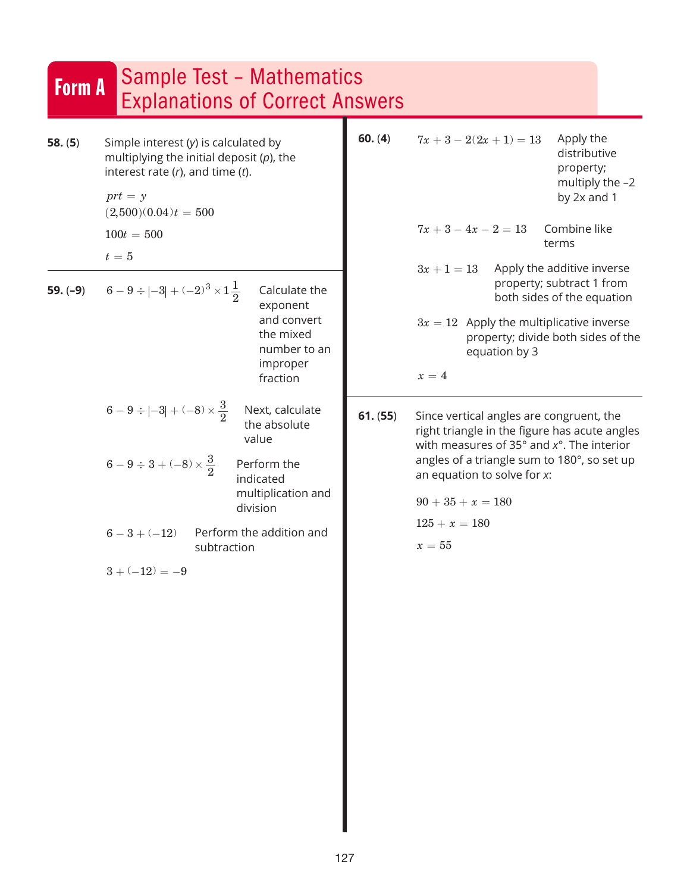| <b>Form A</b>        | <b>Sample Test - Mathematics</b><br><b>Explanations of Correct Answers</b>                                                                                                                                                                                                      |          |                                                                                                                                                                                                                                                                                              |                                                                                                                                                                |
|----------------------|---------------------------------------------------------------------------------------------------------------------------------------------------------------------------------------------------------------------------------------------------------------------------------|----------|----------------------------------------------------------------------------------------------------------------------------------------------------------------------------------------------------------------------------------------------------------------------------------------------|----------------------------------------------------------------------------------------------------------------------------------------------------------------|
| 58. (5)<br>$59.(-9)$ | Simple interest $(y)$ is calculated by<br>multiplying the initial deposit $(p)$ , the<br>interest rate $(r)$ , and time $(t)$ .<br>$prt = y$<br>$(2,500)(0.04)t = 500$<br>$100t = 500$<br>$t=5$<br>$6-9 \div  -3  + (-2)^3 \times 1\frac{1}{2}$<br>Calculate the                | 60. (4)  | $7x + 3 - 2(2x + 1) = 13$<br>$7x + 3 - 4x - 2 = 13$<br>$3x + 1 = 13$                                                                                                                                                                                                                         | Apply the<br>distributive<br>property;<br>multiply the $-2$<br>by 2x and 1<br>Combine like<br>terms<br>Apply the additive inverse<br>property; subtract 1 from |
|                      | exponent<br>and convert<br>the mixed<br>number to an<br>improper<br>fraction                                                                                                                                                                                                    |          | $3x = 12$ Apply the multiplicative inverse<br>equation by 3<br>$x=4$                                                                                                                                                                                                                         | both sides of the equation<br>property; divide both sides of the                                                                                               |
|                      | $6-9 \div  -3  + (-8) \times \frac{3}{2}$<br>Next, calculate<br>the absolute<br>value<br>$6-9 \div 3 + (-8) \times \frac{3}{2}$<br>Perform the<br>indicated<br>multiplication and<br>division<br>Perform the addition and<br>$6 - 3 + (-12)$<br>subtraction<br>$3 + (-12) = -9$ | 61. (55) | Since vertical angles are congruent, the<br>right triangle in the figure has acute angles<br>with measures of 35 $^{\circ}$ and $x^{\circ}$ . The interior<br>angles of a triangle sum to 180°, so set up<br>an equation to solve for x:<br>$90 + 35 + x = 180$<br>$125 + x = 180$<br>$x=55$ |                                                                                                                                                                |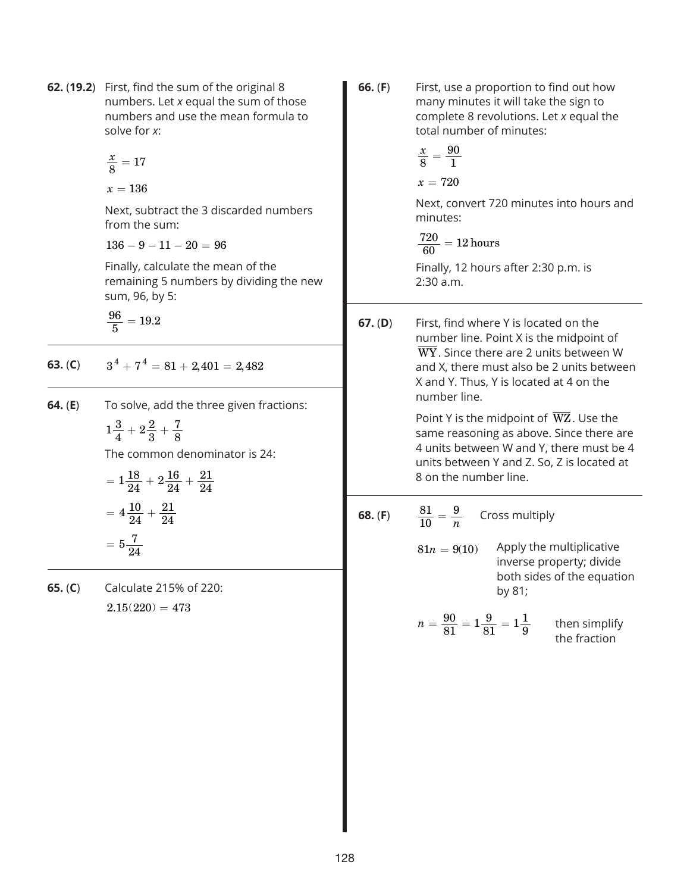**62.** (**19.2**) First, find the sum of the original 8 numbers. Let *x* equal the sum of those numbers and use the mean formula to solve for *x*:

$$
\frac{x}{8} = 17
$$

 $x = 136$ 

Next, subtract the 3 discarded numbers from the sum:

 $136 - 9 - 11 - 20 = 96$ 

Finally, calculate the mean of the remaining 5 numbers by dividing the new sum, 96, by 5:

 $\frac{96}{5} = 19.2$ 

**63.** (**C**)  $3^4 + 7^4 = 81 + 2{,}401 = 2{,}482$ 

**64.** (**E**) To solve, add the three given fractions:

$$
1\frac{3}{4} + 2\frac{2}{3} + \frac{7}{8}
$$

The common denominator is 24:

$$
= 1\frac{18}{24} + 2\frac{16}{24} + \frac{21}{24}
$$

$$
= 4\frac{10}{24} + \frac{21}{24}
$$

$$
= 5\frac{7}{24}
$$

**65.** (**C**) Calculate 215% of 220:  $2.15(220) = 473$ 

- **66.** (**F**) First, use a proportion to find out how many minutes it will take the sign to complete 8 revolutions. Let *x* equal the total number of minutes: *x*  $x = 720$ 8 90  $=\frac{31}{1}$ Next, convert 720 minutes into hours and minutes:  $\frac{720}{60} = 12 \, \text{hours}$ Finally, 12 hours after 2:30 p.m. is 2:30 a.m.
- **67.** (**D**) First, find where Y is located on the number line. Point X is the midpoint of  $\overline{\text{WY}}$ . Since there are 2 units between W and X, there must also be 2 units between X and Y. Thus, Y is located at 4 on the number line.

Point Y is the midpoint of  $\overline{WZ}$ . Use the same reasoning as above. Since there are 4 units between W and Y, there must be 4 units between Y and Z. So, Z is located at 8 on the number line.

**68.** (F) 
$$
\frac{81}{10} = \frac{9}{n}
$$
 Cross multiply  
 $81n - 9(10)$  Apply the multiplicative

 $81n = 9(10)$ inverse property; divide both sides of the equation by 81;

$$
n = \frac{90}{81} = 1\frac{9}{81} = 1\frac{1}{9}
$$
 then simplify  
the fraction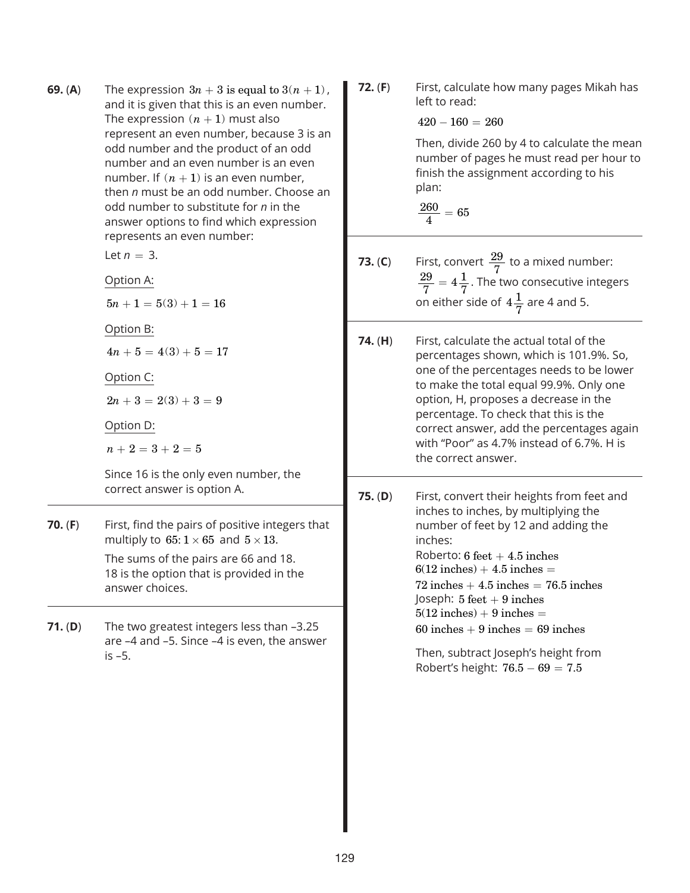| 69. (A)            | The expression $3n + 3$ is equal to $3(n + 1)$ ,<br>and it is given that this is an even number.<br>The expression $(n + 1)$ must also<br>represent an even number, because 3 is an<br>odd number and the product of an odd<br>number and an even number is an even<br>number. If $(n + 1)$ is an even number,<br>then n must be an odd number. Choose an<br>odd number to substitute for n in the<br>answer options to find which expression<br>represents an even number: | 72. (F) | First, calculate how many pages Mikah has<br>left to read:<br>$420 - 160 = 260$<br>Then, divide 260 by 4 to calculate the mean<br>number of pages he must read per hour to<br>finish the assignment according to his<br>plan:<br>$\frac{260}{4} = 65$                                                                                                                                                                                                                   |  |  |  |
|--------------------|-----------------------------------------------------------------------------------------------------------------------------------------------------------------------------------------------------------------------------------------------------------------------------------------------------------------------------------------------------------------------------------------------------------------------------------------------------------------------------|---------|-------------------------------------------------------------------------------------------------------------------------------------------------------------------------------------------------------------------------------------------------------------------------------------------------------------------------------------------------------------------------------------------------------------------------------------------------------------------------|--|--|--|
|                    | Let $n = 3$ .<br>Option A:                                                                                                                                                                                                                                                                                                                                                                                                                                                  | 73. (C) | First, convert $\frac{29}{7}$ to a mixed number:<br>$\frac{29}{7}$ = 4 $\frac{1}{7}$ . The two consecutive integers<br>on either side of $4\frac{1}{7}$ are 4 and 5.                                                                                                                                                                                                                                                                                                    |  |  |  |
|                    | $5n + 1 = 5(3) + 1 = 16$<br>Option B:<br>$4n + 5 = 4(3) + 5 = 17$<br>Option C:<br>$2n+3=2(3)+3=9$<br>Option D:<br>$n+2=3+2=5$<br>Since 16 is the only even number, the                                                                                                                                                                                                                                                                                                      | 74. (H) | First, calculate the actual total of the<br>percentages shown, which is 101.9%. So,<br>one of the percentages needs to be lower<br>to make the total equal 99.9%. Only one<br>option, H, proposes a decrease in the<br>percentage. To check that this is the<br>correct answer, add the percentages again<br>with "Poor" as 4.7% instead of 6.7%. H is<br>the correct answer.                                                                                           |  |  |  |
| 70. (F)<br>71. (D) | correct answer is option A.<br>First, find the pairs of positive integers that<br>multiply to 65: $1 \times 65$ and $5 \times 13$ .<br>The sums of the pairs are 66 and 18.<br>18 is the option that is provided in the<br>answer choices.<br>The two greatest integers less than -3.25<br>are -4 and -5. Since -4 is even, the answer<br>$is -5.$                                                                                                                          | 75. (D) | First, convert their heights from feet and<br>inches to inches, by multiplying the<br>number of feet by 12 and adding the<br>inches:<br>Roberto: $6 \text{ feet} + 4.5 \text{ inches}$<br>$6(12$ inches) + 4.5 inches =<br>$72$ inches $+4.5$ inches $=76.5$ inches<br>Joseph: $5 \text{ feet} + 9 \text{ inches}$<br>$5(12$ inches) + 9 inches =<br>$60$ inches $+9$ inches $= 69$ inches<br>Then, subtract Joseph's height from<br>Robert's height: $76.5 - 69 = 7.5$ |  |  |  |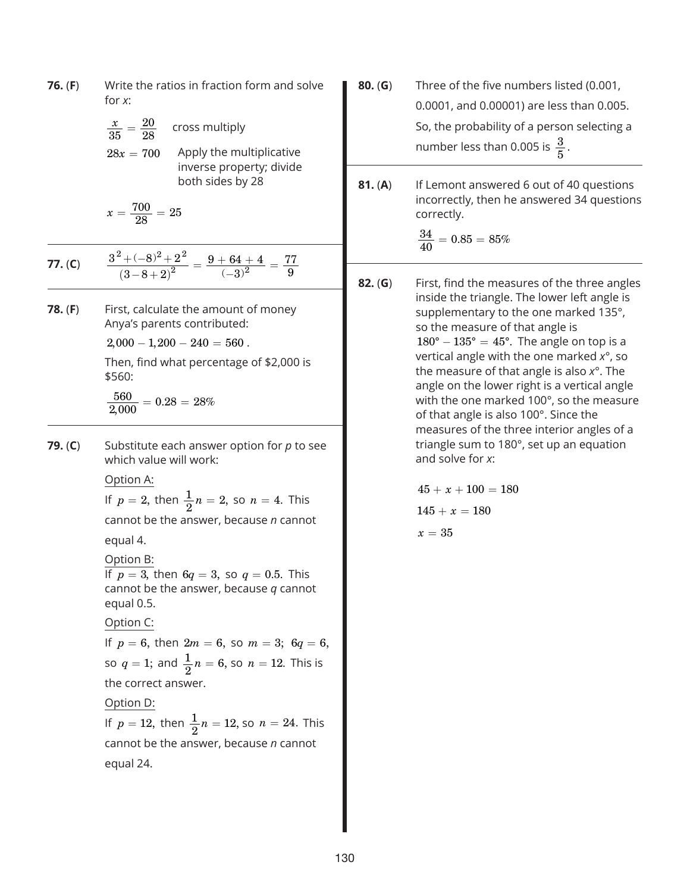| 76. (F) | Write the ratios in fraction form and solve<br>for $x$ :                                                   |       |  |  |  |
|---------|------------------------------------------------------------------------------------------------------------|-------|--|--|--|
|         | $\frac{x}{35} = \frac{20}{28}$ cross multiply                                                              |       |  |  |  |
|         | Apply the multiplicative<br>$28x = 700$<br>inverse property; divide                                        |       |  |  |  |
|         | both sides by 28<br>$x=\frac{700}{28}=25$                                                                  | 81. ( |  |  |  |
|         |                                                                                                            |       |  |  |  |
| 77. (C) | $\frac{3^2 + (-8)^2 + 2^2}{(3-8+2)^2} = \frac{9+64+4}{(-3)^2} = \frac{77}{9}$                              | 82. ( |  |  |  |
| 78. (F) | First, calculate the amount of money<br>Anya's parents contributed:                                        |       |  |  |  |
|         | $2,000 - 1,200 - 240 = 560$ .                                                                              |       |  |  |  |
|         | Then, find what percentage of \$2,000 is<br>\$560:                                                         |       |  |  |  |
|         | $\frac{560}{2.000} = 0.28 = 28\%$                                                                          |       |  |  |  |
| 79. (C) | Substitute each answer option for $p$ to see<br>which value will work:                                     |       |  |  |  |
|         | Option A:                                                                                                  |       |  |  |  |
|         | If $p = 2$ , then $\frac{1}{2}n = 2$ , so $n = 4$ . This                                                   |       |  |  |  |
|         | cannot be the answer, because n cannot                                                                     |       |  |  |  |
|         | equal 4.                                                                                                   |       |  |  |  |
|         | Option B:                                                                                                  |       |  |  |  |
|         | If $p = 3$ , then $6q = 3$ , so $q = 0.5$ . This<br>cannot be the answer, because $q$ cannot<br>equal 0.5. |       |  |  |  |
|         | Option C:                                                                                                  |       |  |  |  |
|         | If $p = 6$ , then $2m = 6$ , so $m = 3$ ; $6q = 6$ ,                                                       |       |  |  |  |
|         | so $q = 1$ ; and $\frac{1}{2}n = 6$ , so $n = 12$ . This is                                                |       |  |  |  |
|         | the correct answer.                                                                                        |       |  |  |  |
|         | Option D:                                                                                                  |       |  |  |  |
|         | If $p = 12$ , then $\frac{1}{2}n = 12$ , so $n = 24$ . This                                                |       |  |  |  |
|         | cannot be the answer, because n cannot                                                                     |       |  |  |  |
|         | equal 24.                                                                                                  |       |  |  |  |
|         |                                                                                                            |       |  |  |  |
|         |                                                                                                            |       |  |  |  |

- **80.** (**G**) Three of the five numbers listed (0.001, 0.0001, and 0.00001) are less than 0.005. So, the probability of a person selecting a number less than 0.005 is  $\frac{3}{5}$ .
- **81.** (**A**) If Lemont answered 6 out of 40 questions incorrectly, then he answered 34 questions correctly.

$$
\frac{34}{40} = 0.85 = 85\%
$$

**G**) First, find the measures of the three angles inside the triangle. The lower left angle is supplementary to the one marked 135°, so the measure of that angle is  $180^\circ - 135^\circ = 45^\circ$ . The angle on top is a vertical angle with the one marked *x*°, so the measure of that angle is also *x*°. The angle on the lower right is a vertical angle with the one marked 100°, so the measure of that angle is also 100°. Since the measures of the three interior angles of a triangle sum to 180°, set up an equation and solve for *x*:

> $45 + x + 100 = 180$  $145 + x = 180$  $x=35$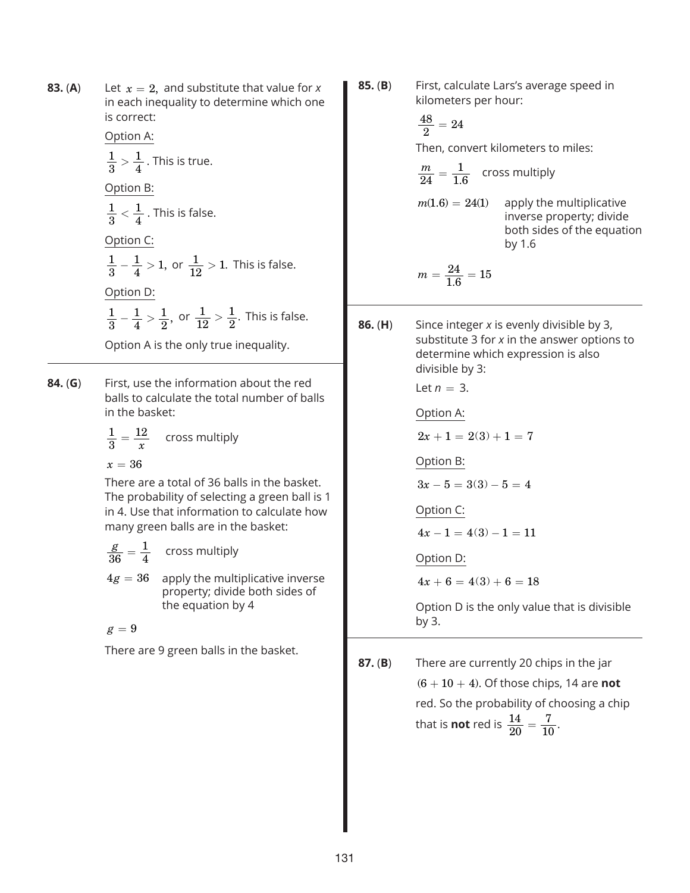**83.** (A) Let  $x = 2$ , and substitute that value for *x* in each inequality to determine which one is correct:

Option A:

$$
\frac{1}{3} > \frac{1}{4}
$$
. This is true.

Option B:

$$
\frac{1}{3} < \frac{1}{4}
$$
. This is false.

Option C:

$$
\frac{1}{3} - \frac{1}{4} > 1
$$
, or  $\frac{1}{12} > 1$ . This is false. Option D:

$$
\frac{1}{3} - \frac{1}{4} > \frac{1}{2}
$$
, or  $\frac{1}{12} > \frac{1}{2}$ . This is false.

Option A is the only true inequality.

**84.** (**G**) First, use the information about the red balls to calculate the total number of balls in the basket:

$$
\frac{1}{3} = \frac{12}{x}
$$
 cross multiply

$$
x=36
$$

There are a total of 36 balls in the basket. The probability of selecting a green ball is 1 in 4. Use that information to calculate how many green balls are in the basket:

$$
\frac{g}{36} = \frac{1}{4}
$$
 cross multiply  
4g = 36 apply the multiplicative inverse  
property; divide both sides of  
the equation by 4

$$
g=9
$$

There are 9 green balls in the basket.

**85.** (**B**) First, calculate Lars's average speed in kilometers per hour:

$$
\frac{48}{2}=24
$$

Then, convert kilometers to miles:

$$
\frac{m}{24} = \frac{1}{1.6}
$$
 cross multiply  
m(1.6) = 24(1) apply the multiplicative  
inverse property; divide  
both sides of the equation  
by 1.6

$$
m = \frac{24}{1.6} = 15
$$

**86.** (**H**) Since integer *x* is evenly divisible by 3, substitute 3 for *x* in the answer options to determine which expression is also divisible by 3: Let  $n = 3$ .

Option A:

 $2x + 1 = 2(3) + 1 = 7$ 

Option B:

 $3x - 5 = 3(3) - 5 = 4$ 

Option C:

$$
4x - 1 = 4(3) - 1 = 11
$$

Option D:

 $4x + 6 = 4(3) + 6 = 18$ 

Option D is the only value that is divisible by 3.

**87.** (**B**) There are currently 20 chips in the jar  $(6 + 10 + 4)$ . Of those chips, 14 are **not** red. So the probability of choosing a chip that is **not** red is  $\frac{14}{20}$  =  $rac{7}{10}$ .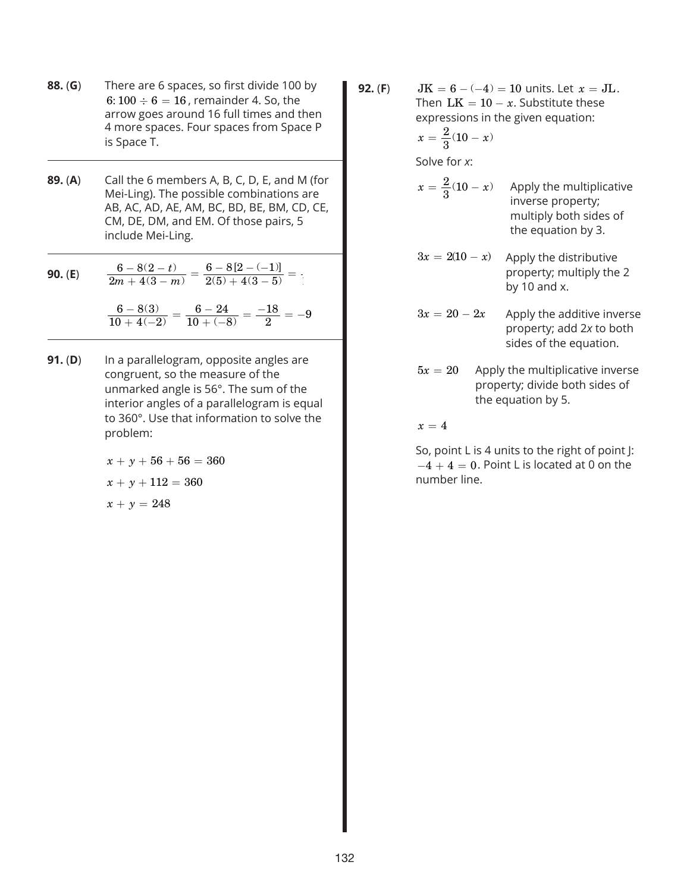- **88.** (**G**) There are 6 spaces, so first divide 100 by 6:  $100 \div 6 = 16$ , remainder 4. So, the arrow goes around 16 full times and then 4 more spaces. Four spaces from Space P is Space T.
- **89.** (**A**) Call the 6 members A, B, C, D, E, and M (for Mei-Ling). The possible combinations are AB, AC, AD, AE, AM, BC, BD, BE, BM, CD, CE, CM, DE, DM, and EM. Of those pairs, 5 include Mei-Ling.

**90. (E)** 
$$
\frac{6 - 8(2 - t)}{2m + 4(3 - m)} = \frac{6 - 8[2 - (-1)]}{2(5) + 4(3 - 5)} =
$$

 $6 - 8(3)$  $10 + 4(-2)$  $6-24$  $10 + (-8$  $\frac{6-8(3)}{10+4(-2)} = \frac{6-24}{10+(-8)} = \frac{-18}{2} = -9$  $\frac{6-8(3)}{10+4(-2)}=\frac{6-24}{10+(-8)}=\frac{-18}{2}=-$ 

> **91.** (**D**) In a parallelogram, opposite angles are congruent, so the measure of the unmarked angle is 56°. The sum of the interior angles of a parallelogram is equal to 360°. Use that information to solve the problem:

> > $x + y + 56 + 56 = 360$  $x + y + 112 = 360$  $x + y = 248$

**92.** (**F**)  $JK = 6 - (-4) = 10$  units. Let  $x = JL$ . Then  $LK = 10 - x$ . Substitute these expressions in the given equation:

$$
x=\frac{2}{3}(10-x)
$$

Solve for *x*:

- $x = \frac{2}{2}(10 x)$ Apply the multiplicative inverse property; multiply both sides of the equation by 3.
- $3x = 2(10 x)$  Apply the distributive property; multiply the 2 by 10 and x.
- $3x = 20 2x$  Apply the additive inverse property; add 2*x* to both sides of the equation.
- $5x = 20$  Apply the multiplicative inverse property; divide both sides of the equation by 5.

 $x = 4$ 

So, point L is 4 units to the right of point J:  $-4+4=0$ . Point L is located at 0 on the number line.

 $\mathbf{I}$ 

 $\mathbf{I}$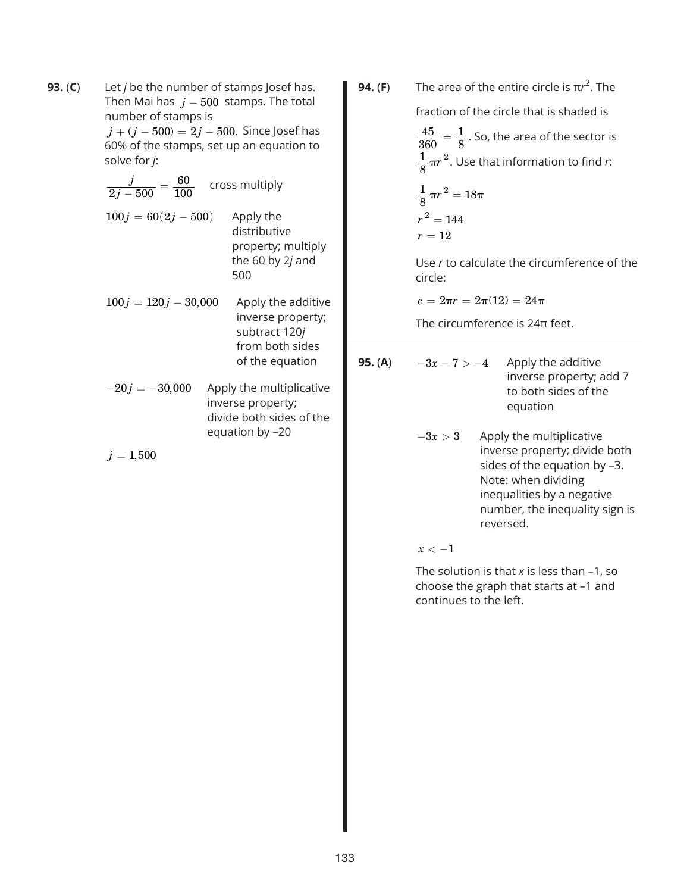**93.** (**C**) Let *j* be the number of stamps Josef has. Then Mai has  $j - 500$  stamps. The total number of stamps is

 $j + (j - 500) = 2j - 500$ . Since Josef has 60% of the stamps, set up an equation to solve for *j*:

 $\frac{j}{2j-500} =$  $\frac{60}{100}$  cross multiply  $100 j = 60(2j - 500)$  Apply the distributive property; multiply the 60 by 2*j* and

 $100 j = 120 j - 30,000$  Apply the additive inverse property; subtract 120*j* from both sides of the equation

500

 $-20j = -30,000$  Apply the multiplicative inverse property; divide both sides of the equation by –20

 $j = 1,500$ 

**94.** (**F**) The area of the entire circle is  $πr^2$ . The fraction of the circle that is shaded is 45 360  $=\frac{1}{8}$ . So, the area of the sector is

 $\frac{1}{6} \pi r$  $\frac{1}{8}$   $\pi r^2$ . Use that information to find *r*:

$$
\frac{1}{8}\pi r^2 = 18\pi
$$

$$
r^2 = 144
$$

$$
r = 12
$$

Use *r* to calculate the circumference of the circle:

 $c = 2\pi r = 2\pi(12) = 24\pi$ 

The circumference is 24π feet.

**95.** (A)  $-3x - 7 > -4$  Apply the additive inverse property; add 7 to both sides of the equation  $-3x > 3$  Apply the multiplicative inverse property; divide both sides of the equation by –3. Note: when dividing inequalities by a negative number, the inequality sign is reversed.  $x < -1$ 

> The solution is that *x* is less than –1, so choose the graph that starts at –1 and continues to the left.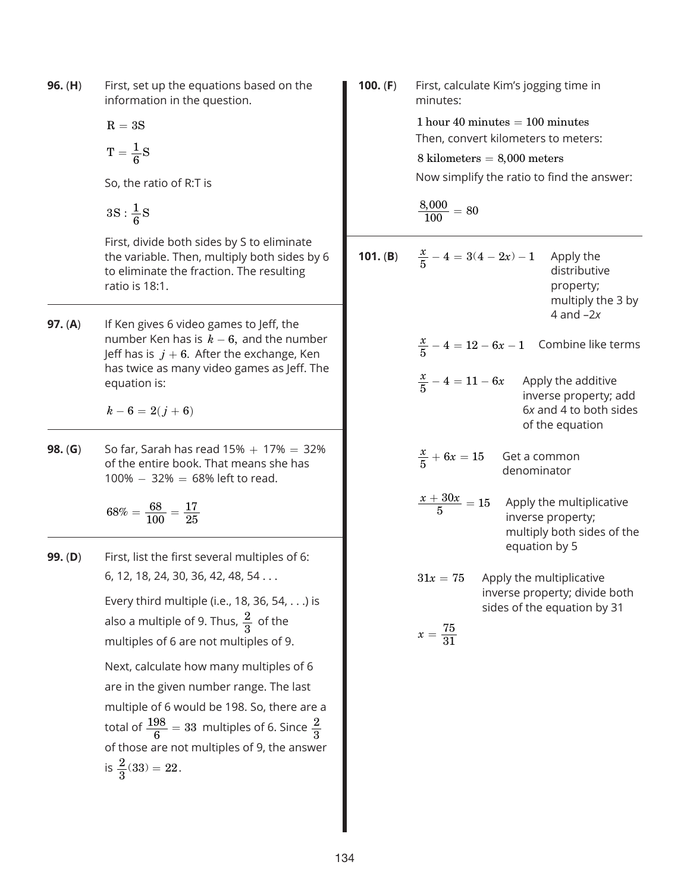**96.** (**H**) First, set up the equations based on the information in the question.

$$
\mathrm{R}=3\mathrm{S}
$$

$$
T=\frac{1}{6}S
$$

So, the ratio of R:T is

$$
3S:\frac{1}{6}S
$$

First, divide both sides by S to eliminate the variable. Then, multiply both sides by 6 to eliminate the fraction. The resulting ratio is 18:1.

**97. (A)** If Ken gives 6 video games to Jeff, the number Ken has is  $k - 6$ , and the number Jeff has is  $j + 6$ . After the exchange, Ken has twice as many video games as Jeff. The equation is:

 $k - 6 = 2(j + 6)$ 

**98. (G)** So far, Sarah has read  $15\% + 17\% = 32\%$ of the entire book. That means she has  $100\% - 32\% = 68\%$  left to read.

> $68\%=\displaystyle\frac{68}{100}$  $=\frac{68}{100}=\frac{17}{25}$

**99.** (**D**) First, list the first several multiples of 6: 6, 12, 18, 24, 30, 36, 42, 48, 54 ...

> Every third multiple (i.e., 18, 36, 54, ...) is also a multiple of 9. Thus,  $\frac{2}{3}$  of the multiples of 6 are not multiples of 9.

Next, calculate how many multiples of 6 are in the given number range. The last multiple of 6 would be 198. So, there are a total of  $\frac{198}{6}$  = 33 multiples of 6. Since  $\frac{2}{3}$ of those are not multiples of 9, the answer is  $\frac{2}{3}(33) = 22$ .

**100.** (**F**) First, calculate Kim's jogging time in minutes:  $1$  hour  $40$  minutes  $= 100$  minutes Then, convert kilometers to meters: 8 kilometers = 8,000 meters Now simplify the ratio to find the answer:  $\frac{8,000}{100} = 80$ **101. (B)**  $\frac{x}{5} - 4 = 3(4 - 2x) - 1$  Apply the distributive property; multiply the 3 by 4 and –2*x*  $\frac{x}{5} - 4 = 12 - 6x - 1$  Combine like terms  $\frac{x}{5} - 4 = 11 - 6x$  Apply the additive inverse property; add 6*x* and 4 to both sides of the equation  $\frac{x}{5} + 6x = 15$ **Get a common** denominator  $\frac{x + 30x}{5} = 15$  Apply the multiplicative inverse property; multiply both sides of the equation by 5  $31x = 75$  Apply the multiplicative inverse property; divide both sides of the equation by 31  $x = \frac{75}{31}$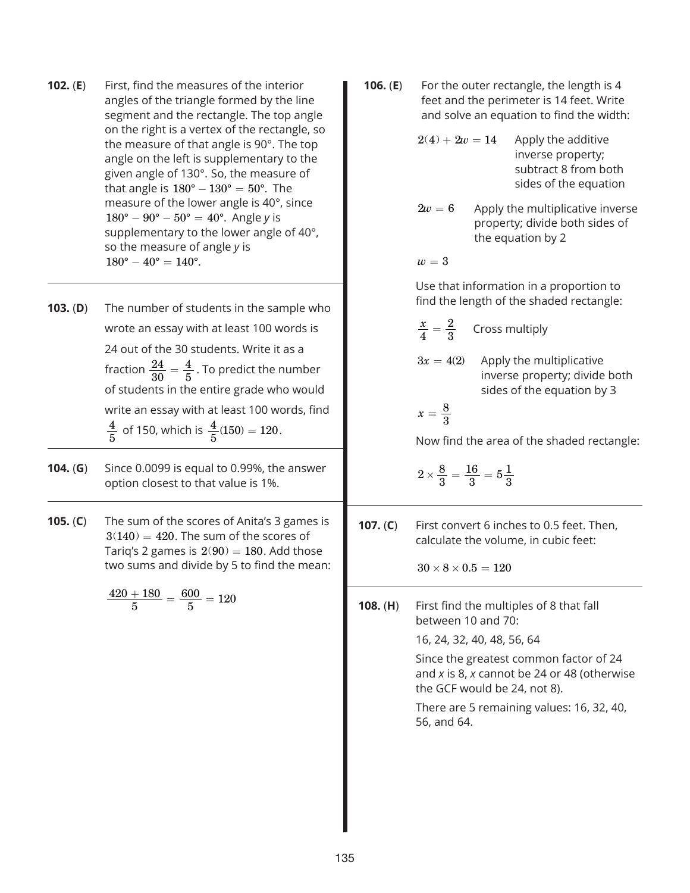- **102.** (**E**) First, find the measures of the interior angles of the triangle formed by the line segment and the rectangle. The top angle on the right is a vertex of the rectangle, so the measure of that angle is 90°. The top angle on the left is supplementary to the given angle of 130°. So, the measure of that angle is  $180^\circ - 130^\circ = 50^\circ$ . The measure of the lower angle is 40°, since  $180^\circ - 90^\circ - 50^\circ = 40^\circ$ . Angle *y* is supplementary to the lower angle of 40°, so the measure of angle *y* is  $180^{\circ} - 40^{\circ} = 140^{\circ}.$
- **103.** (**D**) The number of students in the sample who wrote an essay with at least 100 words is 24 out of the 30 students. Write it as a fraction  $\frac{24}{30}$  $=\frac{4}{5}$  . To predict the number of students in the entire grade who would write an essay with at least 100 words, find  $\frac{4}{5}$  of 150, which is  $\frac{4}{5}(150) = 120$ .
- **104.** (**G**) Since 0.0099 is equal to 0.99%, the answer option closest to that value is 1%.
- **105.** (**C**) The sum of the scores of Anita's 3 games is  $3(140) = 420$ . The sum of the scores of Tariq's 2 games is  $2(90) = 180$ . Add those two sums and divide by 5 to find the mean:

$$
\frac{420+180}{5}=\frac{600}{5}=120
$$

- **106. (E)** For the outer rectangle, the length is 4 feet and the perimeter is 14 feet. Write and solve an equation to find the width:
	- $2(4) + 2w = 14$  Apply the additive inverse property; subtract 8 from both sides of the equation
	- $2w = 6$  Apply the multiplicative inverse property; divide both sides of the equation by 2

 $w = 3$ 

Use that information in a proportion to find the length of the shaded rectangle:

- $\frac{x}{4}$  =  $\frac{2}{3}$  Cross multiply
- $3x = 4(2)$  Apply the multiplicative inverse property; divide both sides of the equation by 3

$$
x=\frac{8}{3}
$$

Now find the area of the shaded rectangle:

$$
2 \times \frac{8}{3} = \frac{16}{3} = 5\frac{1}{3}
$$

**107.** (**C**) First convert 6 inches to 0.5 feet. Then, calculate the volume, in cubic feet:

 $30 \times 8 \times 0.5 = 120$ 

**108.** (**H**) First find the multiples of 8 that fall between 10 and 70:

16, 24, 32, 40, 48, 56, 64

Since the greatest common factor of 24 and *x* is 8, *x* cannot be 24 or 48 (otherwise the GCF would be 24, not 8).

There are 5 remaining values: 16, 32, 40, 56, and 64.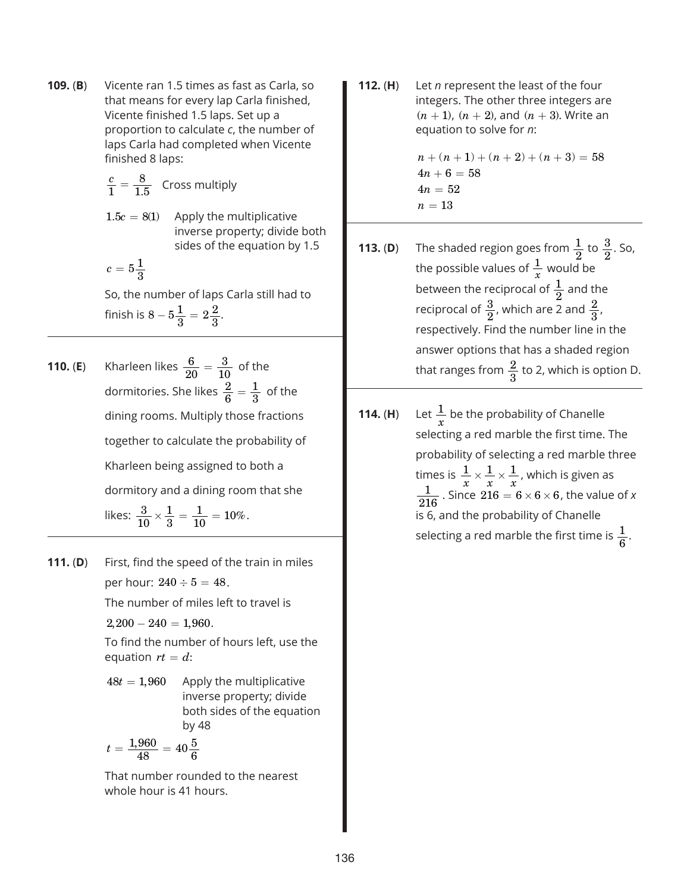**109.** (**B**) Vicente ran 1.5 times as fast as Carla, so that means for every lap Carla finished, Vicente finished 1.5 laps. Set up a proportion to calculate *c*, the number of laps Carla had completed when Vicente finished 8 laps:

$$
\frac{c}{1} = \frac{8}{1.5}
$$
 Cross multiply

 $1.5c = 8(1)$  Apply the multiplicative inverse property; divide both sides of the equation by 1.5

$$
c=5\frac{1}{3}
$$

So, the number of laps Carla still had to finish is  $8 - 5\frac{1}{3} = 2\frac{2}{3}$ .

- **110. (E)** Kharleen likes  $\frac{6}{20}$  $=\frac{3}{10}$  of the dormitories. She likes  $\frac{2}{6}$  $=\frac{1}{3}$  of the dining rooms. Multiply those fractions together to calculate the probability of Kharleen being assigned to both a dormitory and a dining room that she likes:  $\frac{3}{10}$ 1 3  $\times \frac{1}{3} = \frac{1}{10} = 10\%.$
- **111.** (**D**) First, find the speed of the train in miles per hour:  $240 \div 5 = 48$ . The number of miles left to travel is
	- $2,200 240 = 1,960.$

To find the number of hours left, use the equation  $rt = d$ :

 $48t = 1,960$  Apply the multiplicative inverse property; divide both sides of the equation by 48

$$
t = \frac{1,960}{48} = 40\frac{5}{6}
$$

That number rounded to the nearest whole hour is 41 hours.

**112.** (**H**) Let *n* represent the least of the four integers. The other three integers are  $(n + 1)$ ,  $(n + 2)$ , and  $(n + 3)$ . Write an equation to solve for *n*:

> $n + (n + 1) + (n + 2) + (n + 3) = 58$  $4n+6=58$  $4n = 52$  $n=13$

- **113. (D)** The shaded region goes from  $\frac{1}{2}$  to  $\frac{3}{2}$ . So, the possible values of  $\frac{1}{x}$  would be between the reciprocal of  $\frac{1}{2}$  and the reciprocal of  $\frac{3}{2}$ , which are 2 and  $\frac{2}{3}$ , respectively. Find the number line in the answer options that has a shaded region that ranges from  $\frac{2}{3}$  to 2, which is option D.
- 114.  $(H)$  $\frac{1}{x}$  be the probability of Chanelle selecting a red marble the first time. The probability of selecting a red marble three times is  $\frac{1}{x} \times \frac{1}{x} \times \frac{1}{x}$ , which is given as  $\frac{1}{216}$  . Since  $216 = 6 \times 6 \times 6$ , the value of *x* is 6, and the probability of Chanelle selecting a red marble the first time is  $\frac{1}{6}$ .